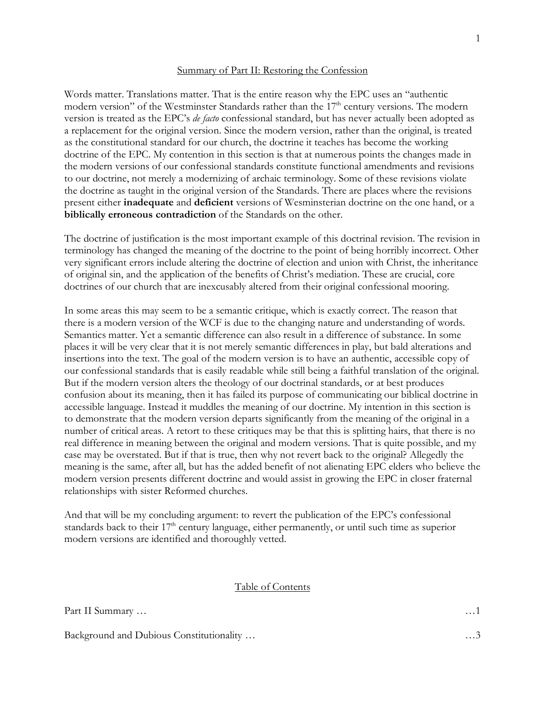#### Summary of Part II: Restoring the Confession

Words matter. Translations matter. That is the entire reason why the EPC uses an "authentic modern version" of the Westminster Standards rather than the 17<sup>th</sup> century versions. The modern version is treated as the EPC's *de facto* confessional standard, but has never actually been adopted as a replacement for the original version. Since the modern version, rather than the original, is treated as the constitutional standard for our church, the doctrine it teaches has become the working doctrine of the EPC. My contention in this section is that at numerous points the changes made in the modern versions of our confessional standards constitute functional amendments and revisions to our doctrine, not merely a modernizing of archaic terminology. Some of these revisions violate the doctrine as taught in the original version of the Standards. There are places where the revisions present either **inadequate** and **deficient** versions of Wesminsterian doctrine on the one hand, or a **biblically erroneous contradiction** of the Standards on the other.

The doctrine of justification is the most important example of this doctrinal revision. The revision in terminology has changed the meaning of the doctrine to the point of being horribly incorrect. Other very significant errors include altering the doctrine of election and union with Christ, the inheritance of original sin, and the application of the benefits of Christ's mediation. These are crucial, core doctrines of our church that are inexcusably altered from their original confessional mooring.

In some areas this may seem to be a semantic critique, which is exactly correct. The reason that there is a modern version of the WCF is due to the changing nature and understanding of words. Semantics matter. Yet a semantic difference can also result in a difference of substance. In some places it will be very clear that it is not merely semantic differences in play, but bald alterations and insertions into the text. The goal of the modern version is to have an authentic, accessible copy of our confessional standards that is easily readable while still being a faithful translation of the original. But if the modern version alters the theology of our doctrinal standards, or at best produces confusion about its meaning, then it has failed its purpose of communicating our biblical doctrine in accessible language. Instead it muddles the meaning of our doctrine. My intention in this section is to demonstrate that the modern version departs significantly from the meaning of the original in a number of critical areas. A retort to these critiques may be that this is splitting hairs, that there is no real difference in meaning between the original and modern versions. That is quite possible, and my case may be overstated. But if that is true, then why not revert back to the original? Allegedly the meaning is the same, after all, but has the added benefit of not alienating EPC elders who believe the modern version presents different doctrine and would assist in growing the EPC in closer fraternal relationships with sister Reformed churches.

And that will be my concluding argument: to revert the publication of the EPC's confessional standards back to their  $17<sup>th</sup>$  century language, either permanently, or until such time as superior modern versions are identified and thoroughly vetted.

#### Table of Contents

| Part II Summary | . 1 |
|-----------------|-----|
|                 |     |

Background and Dubious Constitutionality … … ……3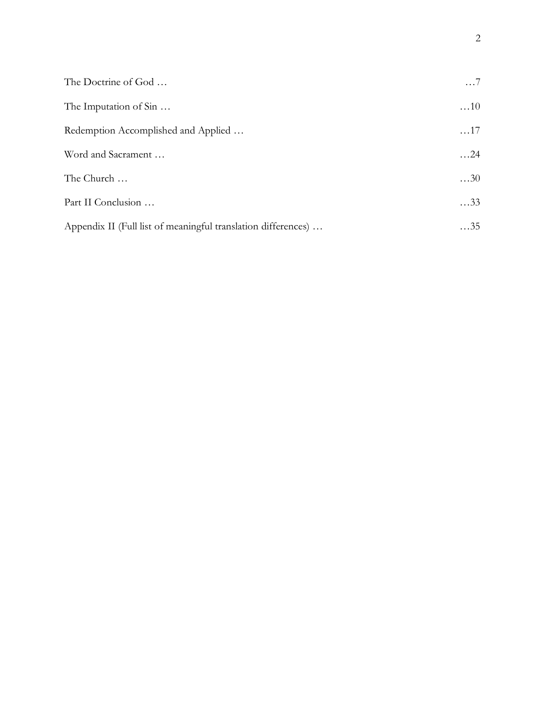| The Doctrine of God                                           | $\ldots 7$  |
|---------------------------------------------------------------|-------------|
| The Imputation of Sin                                         | $\dots$ 10  |
| Redemption Accomplished and Applied                           | $\dots 17$  |
| Word and Sacrament                                            | $\dots$ 24  |
| The Church                                                    | $\ldots$ 30 |
| Part II Conclusion                                            | $\ldots$ 33 |
| Appendix II (Full list of meaningful translation differences) | $\dots$ 35  |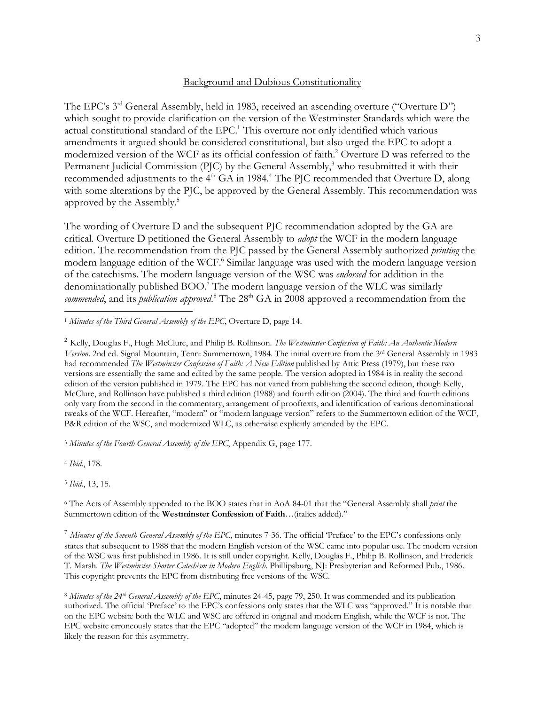#### Background and Dubious Constitutionality

The EPC's 3rd General Assembly, held in 1983, received an ascending overture ("Overture D") which sought to provide clarification on the version of the Westminster Standards which were the actual constitutional standard of the EPC. <sup>1</sup> This overture not only identified which various amendments it argued should be considered constitutional, but also urged the EPC to adopt a modernized version of the WCF as its official confession of faith.2 Overture D was referred to the Permanent Judicial Commission (PJC) by the General Assembly,<sup>3</sup> who resubmitted it with their recommended adjustments to the 4<sup>th</sup> GA in 1984.<sup>4</sup> The PJC recommended that Overture D, along with some alterations by the PJC, be approved by the General Assembly. This recommendation was approved by the Assembly. 5

The wording of Overture D and the subsequent PJC recommendation adopted by the GA are critical. Overture D petitioned the General Assembly to *adopt* the WCF in the modern language edition. The recommendation from the PJC passed by the General Assembly authorized *printing* the modern language edition of the WCF.<sup>6</sup> Similar language was used with the modern language version of the catechisms. The modern language version of the WSC was *endorsed* for addition in the denominationally published BOO.7 The modern language version of the WLC was similarly commended, and its *publication approved*.<sup>8</sup> The 28<sup>th</sup> GA in 2008 approved a recommendation from the

1 *Minutes of the Third General Assembly of the EPC*, Overture D, page 14.

<sup>2</sup> Kelly, Douglas F., Hugh McClure, and Philip B. Rollinson. *The Westminster Confession of Faith: An Authentic Modern Version*. 2nd ed. Signal Mountain, Tenn: Summertown, 1984. The initial overture from the 3rd General Assembly in 1983 had recommended *The Westminster Confession of Faith: A New Edition* published by Attic Press (1979), but these two versions are essentially the same and edited by the same people. The version adopted in 1984 is in reality the second edition of the version published in 1979. The EPC has not varied from publishing the second edition, though Kelly, McClure, and Rollinson have published a third edition (1988) and fourth edition (2004). The third and fourth editions only vary from the second in the commentary, arrangement of prooftexts, and identification of various denominational tweaks of the WCF. Hereafter, "modern" or "modern language version" refers to the Summertown edition of the WCF, P&R edition of the WSC, and modernized WLC, as otherwise explicitly amended by the EPC.

<sup>3</sup> *Minutes of the Fourth General Assembly of the EPC*, Appendix G, page 177.

<sup>4</sup> *Ibid*., 178.

<sup>5</sup> *Ibid*., 13, 15.

<sup>6</sup> The Acts of Assembly appended to the BOO states that in AoA 84-01 that the "General Assembly shall *print* the Summertown edition of the **Westminster Confession of Faith**…(italics added)."

<sup>7</sup> *Minutes of the Seventh General Assembly of the EPC*, minutes 7-36. The official 'Preface' to the EPC's confessions only states that subsequent to 1988 that the modern English version of the WSC came into popular use. The modern version of the WSC was first published in 1986. It is still under copyright. Kelly, Douglas F., Philip B. Rollinson, and Frederick T. Marsh. *The Westminster Shorter Catechism in Modern English*. Phillipsburg, NJ: Presbyterian and Reformed Pub., 1986. This copyright prevents the EPC from distributing free versions of the WSC.

<sup>8</sup> *Minutes of the 24th General Assembly of the EPC*, minutes 24-45, page 79, 250. It was commended and its publication authorized. The official 'Preface' to the EPC's confessions only states that the WLC was "approved." It is notable that on the EPC website both the WLC and WSC are offered in original and modern English, while the WCF is not. The EPC website erroneously states that the EPC "adopted" the modern language version of the WCF in 1984, which is likely the reason for this asymmetry.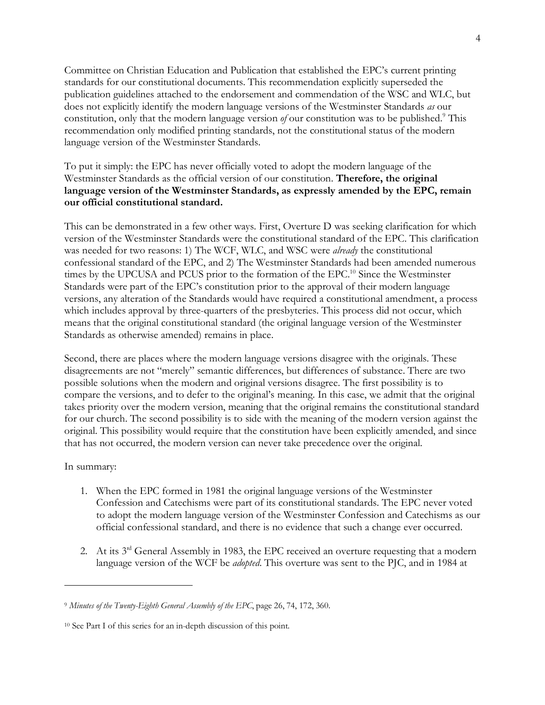Committee on Christian Education and Publication that established the EPC's current printing standards for our constitutional documents. This recommendation explicitly superseded the publication guidelines attached to the endorsement and commendation of the WSC and WLC, but does not explicitly identify the modern language versions of the Westminster Standards *as* our constitution, only that the modern language version *of* our constitution was to be published.<sup>9</sup> This recommendation only modified printing standards, not the constitutional status of the modern language version of the Westminster Standards.

### To put it simply: the EPC has never officially voted to adopt the modern language of the Westminster Standards as the official version of our constitution. **Therefore, the original language version of the Westminster Standards, as expressly amended by the EPC, remain our official constitutional standard.**

This can be demonstrated in a few other ways. First, Overture D was seeking clarification for which version of the Westminster Standards were the constitutional standard of the EPC. This clarification was needed for two reasons: 1) The WCF, WLC, and WSC were *already* the constitutional confessional standard of the EPC, and 2) The Westminster Standards had been amended numerous times by the UPCUSA and PCUS prior to the formation of the EPC.<sup>10</sup> Since the Westminster Standards were part of the EPC's constitution prior to the approval of their modern language versions, any alteration of the Standards would have required a constitutional amendment, a process which includes approval by three-quarters of the presbyteries. This process did not occur, which means that the original constitutional standard (the original language version of the Westminster Standards as otherwise amended) remains in place.

Second, there are places where the modern language versions disagree with the originals. These disagreements are not "merely" semantic differences, but differences of substance. There are two possible solutions when the modern and original versions disagree. The first possibility is to compare the versions, and to defer to the original's meaning. In this case, we admit that the original takes priority over the modern version, meaning that the original remains the constitutional standard for our church. The second possibility is to side with the meaning of the modern version against the original. This possibility would require that the constitution have been explicitly amended, and since that has not occurred, the modern version can never take precedence over the original.

#### In summary:

 $\overline{a}$ 

- 1. When the EPC formed in 1981 the original language versions of the Westminster Confession and Catechisms were part of its constitutional standards. The EPC never voted to adopt the modern language version of the Westminster Confession and Catechisms as our official confessional standard, and there is no evidence that such a change ever occurred.
- 2. At its 3<sup>rd</sup> General Assembly in 1983, the EPC received an overture requesting that a modern language version of the WCF be *adopted*. This overture was sent to the PJC, and in 1984 at

<sup>9</sup> *Minutes of the Twenty-Eighth General Assembly of the EPC*, page 26, 74, 172, 360.

<sup>10</sup> See Part I of this series for an in-depth discussion of this point.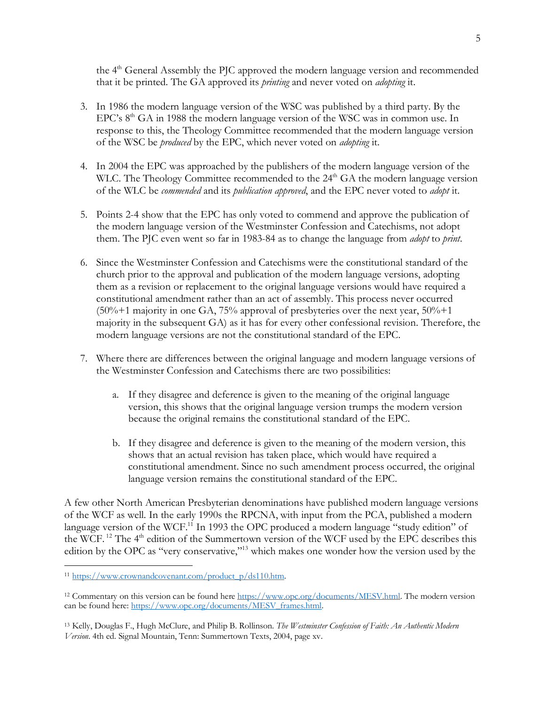the 4<sup>th</sup> General Assembly the PJC approved the modern language version and recommended that it be printed. The GA approved its *printing* and never voted on *adopting* it.

- 3. In 1986 the modern language version of the WSC was published by a third party. By the EPC's  $8<sup>th</sup> GA$  in 1988 the modern language version of the WSC was in common use. In response to this, the Theology Committee recommended that the modern language version of the WSC be *produced* by the EPC, which never voted on *adopting* it.
- 4. In 2004 the EPC was approached by the publishers of the modern language version of the WLC. The Theology Committee recommended to the  $24<sup>th</sup> GA$  the modern language version of the WLC be *commended* and its *publication approved*, and the EPC never voted to *adopt* it.
- 5. Points 2-4 show that the EPC has only voted to commend and approve the publication of the modern language version of the Westminster Confession and Catechisms, not adopt them. The PJC even went so far in 1983-84 as to change the language from *adopt* to *print*.
- 6. Since the Westminster Confession and Catechisms were the constitutional standard of the church prior to the approval and publication of the modern language versions, adopting them as a revision or replacement to the original language versions would have required a constitutional amendment rather than an act of assembly. This process never occurred  $(50\% + 1 \text{ majority in one GA}, 75\%$  approval of presbyteries over the next year,  $50\% + 1$ majority in the subsequent GA) as it has for every other confessional revision. Therefore, the modern language versions are not the constitutional standard of the EPC.
- 7. Where there are differences between the original language and modern language versions of the Westminster Confession and Catechisms there are two possibilities:
	- a. If they disagree and deference is given to the meaning of the original language version, this shows that the original language version trumps the modern version because the original remains the constitutional standard of the EPC.
	- b. If they disagree and deference is given to the meaning of the modern version, this shows that an actual revision has taken place, which would have required a constitutional amendment. Since no such amendment process occurred, the original language version remains the constitutional standard of the EPC.

A few other North American Presbyterian denominations have published modern language versions of the WCF as well. In the early 1990s the RPCNA, with input from the PCA, published a modern language version of the WCF.<sup>11</sup> In 1993 the OPC produced a modern language "study edition" of the WCF.<sup>12</sup> The  $4<sup>th</sup>$  edition of the Summertown version of the WCF used by the EPC describes this edition by the OPC as "very conservative,"13 which makes one wonder how the version used by the

 <sup>11</sup> https://www.crownandcovenant.com/product\_p/ds110.htm.

<sup>&</sup>lt;sup>12</sup> Commentary on this version can be found here https://www.opc.org/documents/MESV.html. The modern version can be found here: https://www.opc.org/documents/MESV\_frames.html.

<sup>13</sup> Kelly, Douglas F., Hugh McClure, and Philip B. Rollinson. *The Westminster Confession of Faith: An Authentic Modern Version*. 4th ed. Signal Mountain, Tenn: Summertown Texts, 2004, page xv.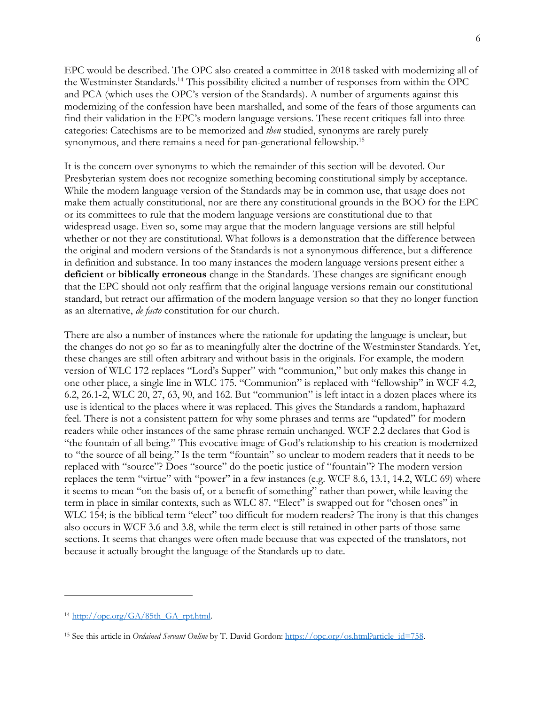EPC would be described. The OPC also created a committee in 2018 tasked with modernizing all of the Westminster Standards.14 This possibility elicited a number of responses from within the OPC and PCA (which uses the OPC's version of the Standards). A number of arguments against this modernizing of the confession have been marshalled, and some of the fears of those arguments can find their validation in the EPC's modern language versions. These recent critiques fall into three categories: Catechisms are to be memorized and *then* studied, synonyms are rarely purely synonymous, and there remains a need for pan-generational fellowship.<sup>15</sup>

It is the concern over synonyms to which the remainder of this section will be devoted. Our Presbyterian system does not recognize something becoming constitutional simply by acceptance. While the modern language version of the Standards may be in common use, that usage does not make them actually constitutional, nor are there any constitutional grounds in the BOO for the EPC or its committees to rule that the modern language versions are constitutional due to that widespread usage. Even so, some may argue that the modern language versions are still helpful whether or not they are constitutional. What follows is a demonstration that the difference between the original and modern versions of the Standards is not a synonymous difference, but a difference in definition and substance. In too many instances the modern language versions present either a **deficient** or **biblically erroneous** change in the Standards. These changes are significant enough that the EPC should not only reaffirm that the original language versions remain our constitutional standard, but retract our affirmation of the modern language version so that they no longer function as an alternative, *de facto* constitution for our church.

There are also a number of instances where the rationale for updating the language is unclear, but the changes do not go so far as to meaningfully alter the doctrine of the Westminster Standards. Yet, these changes are still often arbitrary and without basis in the originals. For example, the modern version of WLC 172 replaces "Lord's Supper" with "communion," but only makes this change in one other place, a single line in WLC 175. "Communion" is replaced with "fellowship" in WCF 4.2, 6.2, 26.1-2, WLC 20, 27, 63, 90, and 162. But "communion" is left intact in a dozen places where its use is identical to the places where it was replaced. This gives the Standards a random, haphazard feel. There is not a consistent pattern for why some phrases and terms are "updated" for modern readers while other instances of the same phrase remain unchanged. WCF 2.2 declares that God is "the fountain of all being." This evocative image of God's relationship to his creation is modernized to "the source of all being." Is the term "fountain" so unclear to modern readers that it needs to be replaced with "source"? Does "source" do the poetic justice of "fountain"? The modern version replaces the term "virtue" with "power" in a few instances (e.g. WCF 8.6, 13.1, 14.2, WLC 69) where it seems to mean "on the basis of, or a benefit of something" rather than power, while leaving the term in place in similar contexts, such as WLC 87. "Elect" is swapped out for "chosen ones" in WLC 154; is the biblical term "elect" too difficult for modern readers? The irony is that this changes also occurs in WCF 3.6 and 3.8, while the term elect is still retained in other parts of those same sections. It seems that changes were often made because that was expected of the translators, not because it actually brought the language of the Standards up to date.

 $\overline{a}$ 

<sup>14</sup> http://opc.org/GA/85th\_GA\_rpt.html.

<sup>&</sup>lt;sup>15</sup> See this article in *Ordained Servant Online* by T. David Gordon: https://opc.org/os.html?article\_id=758.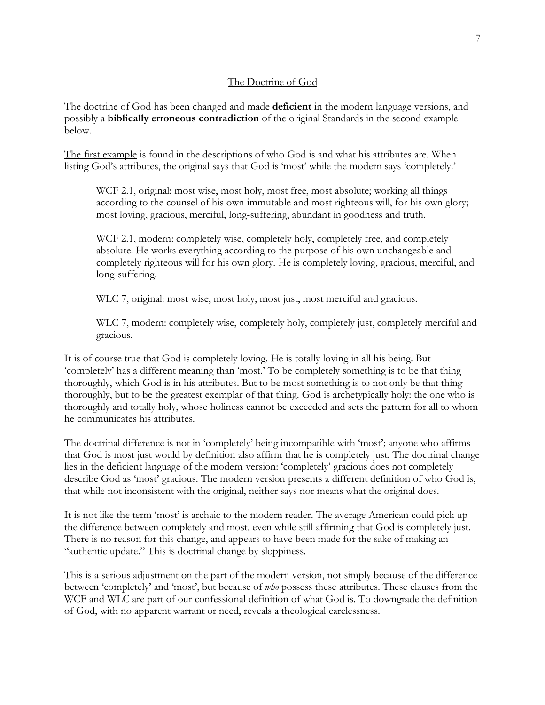#### The Doctrine of God

The doctrine of God has been changed and made **deficient** in the modern language versions, and possibly a **biblically erroneous contradiction** of the original Standards in the second example below.

The first example is found in the descriptions of who God is and what his attributes are. When listing God's attributes, the original says that God is 'most' while the modern says 'completely.'

WCF 2.1, original: most wise, most holy, most free, most absolute; working all things according to the counsel of his own immutable and most righteous will, for his own glory; most loving, gracious, merciful, long-suffering, abundant in goodness and truth.

WCF 2.1, modern: completely wise, completely holy, completely free, and completely absolute. He works everything according to the purpose of his own unchangeable and completely righteous will for his own glory. He is completely loving, gracious, merciful, and long-suffering.

WLC 7, original: most wise, most holy, most just, most merciful and gracious.

WLC 7, modern: completely wise, completely holy, completely just, completely merciful and gracious.

It is of course true that God is completely loving. He is totally loving in all his being. But 'completely' has a different meaning than 'most.' To be completely something is to be that thing thoroughly, which God is in his attributes. But to be most something is to not only be that thing thoroughly, but to be the greatest exemplar of that thing. God is archetypically holy: the one who is thoroughly and totally holy, whose holiness cannot be exceeded and sets the pattern for all to whom he communicates his attributes.

The doctrinal difference is not in 'completely' being incompatible with 'most'; anyone who affirms that God is most just would by definition also affirm that he is completely just. The doctrinal change lies in the deficient language of the modern version: 'completely' gracious does not completely describe God as 'most' gracious. The modern version presents a different definition of who God is, that while not inconsistent with the original, neither says nor means what the original does.

It is not like the term 'most' is archaic to the modern reader. The average American could pick up the difference between completely and most, even while still affirming that God is completely just. There is no reason for this change, and appears to have been made for the sake of making an "authentic update." This is doctrinal change by sloppiness.

This is a serious adjustment on the part of the modern version, not simply because of the difference between 'completely' and 'most', but because of *who* possess these attributes. These clauses from the WCF and WLC are part of our confessional definition of what God is. To downgrade the definition of God, with no apparent warrant or need, reveals a theological carelessness.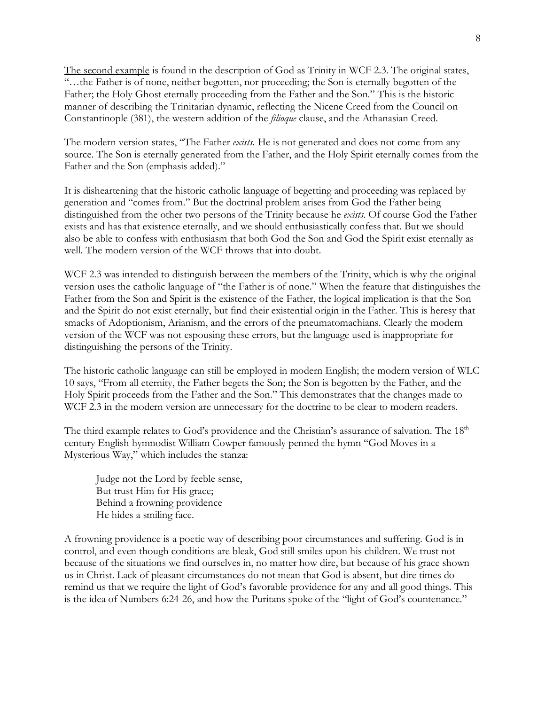The second example is found in the description of God as Trinity in WCF 2.3. The original states, "…the Father is of none, neither begotten, nor proceeding; the Son is eternally begotten of the Father; the Holy Ghost eternally proceeding from the Father and the Son." This is the historic manner of describing the Trinitarian dynamic, reflecting the Nicene Creed from the Council on Constantinople (381), the western addition of the *filioque* clause, and the Athanasian Creed.

The modern version states, "The Father *exists*. He is not generated and does not come from any source. The Son is eternally generated from the Father, and the Holy Spirit eternally comes from the Father and the Son (emphasis added)."

It is disheartening that the historic catholic language of begetting and proceeding was replaced by generation and "comes from." But the doctrinal problem arises from God the Father being distinguished from the other two persons of the Trinity because he *exists*. Of course God the Father exists and has that existence eternally, and we should enthusiastically confess that. But we should also be able to confess with enthusiasm that both God the Son and God the Spirit exist eternally as well. The modern version of the WCF throws that into doubt.

WCF 2.3 was intended to distinguish between the members of the Trinity, which is why the original version uses the catholic language of "the Father is of none." When the feature that distinguishes the Father from the Son and Spirit is the existence of the Father, the logical implication is that the Son and the Spirit do not exist eternally, but find their existential origin in the Father. This is heresy that smacks of Adoptionism, Arianism, and the errors of the pneumatomachians. Clearly the modern version of the WCF was not espousing these errors, but the language used is inappropriate for distinguishing the persons of the Trinity.

The historic catholic language can still be employed in modern English; the modern version of WLC 10 says, "From all eternity, the Father begets the Son; the Son is begotten by the Father, and the Holy Spirit proceeds from the Father and the Son." This demonstrates that the changes made to WCF 2.3 in the modern version are unnecessary for the doctrine to be clear to modern readers.

The third example relates to God's providence and the Christian's assurance of salvation. The 18<sup>th</sup> century English hymnodist William Cowper famously penned the hymn "God Moves in a Mysterious Way," which includes the stanza:

Judge not the Lord by feeble sense, But trust Him for His grace; Behind a frowning providence He hides a smiling face.

A frowning providence is a poetic way of describing poor circumstances and suffering. God is in control, and even though conditions are bleak, God still smiles upon his children. We trust not because of the situations we find ourselves in, no matter how dire, but because of his grace shown us in Christ. Lack of pleasant circumstances do not mean that God is absent, but dire times do remind us that we require the light of God's favorable providence for any and all good things. This is the idea of Numbers 6:24-26, and how the Puritans spoke of the "light of God's countenance."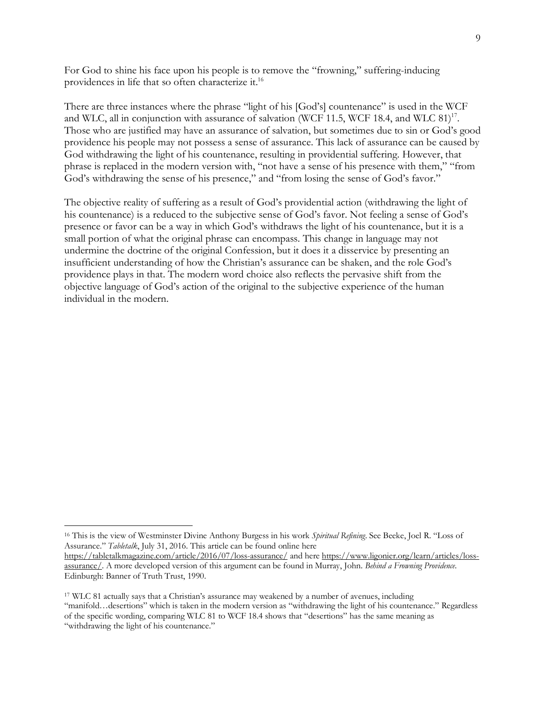For God to shine his face upon his people is to remove the "frowning," suffering-inducing providences in life that so often characterize it.16

There are three instances where the phrase "light of his [God's] countenance" is used in the WCF and WLC, all in conjunction with assurance of salvation (WCF 11.5, WCF 18.4, and WLC 81)<sup>17</sup>. Those who are justified may have an assurance of salvation, but sometimes due to sin or God's good providence his people may not possess a sense of assurance. This lack of assurance can be caused by God withdrawing the light of his countenance, resulting in providential suffering. However, that phrase is replaced in the modern version with, "not have a sense of his presence with them," "from God's withdrawing the sense of his presence," and "from losing the sense of God's favor."

The objective reality of suffering as a result of God's providential action (withdrawing the light of his countenance) is a reduced to the subjective sense of God's favor. Not feeling a sense of God's presence or favor can be a way in which God's withdraws the light of his countenance, but it is a small portion of what the original phrase can encompass. This change in language may not undermine the doctrine of the original Confession, but it does it a disservice by presenting an insufficient understanding of how the Christian's assurance can be shaken, and the role God's providence plays in that. The modern word choice also reflects the pervasive shift from the objective language of God's action of the original to the subjective experience of the human individual in the modern.

 <sup>16</sup> This is the view of Westminster Divine Anthony Burgess in his work *Spiritual Refining*. See Beeke, Joel R. "Loss of Assurance." *Tabletalk*, July 31, 2016. This article can be found online here

https://tabletalkmagazine.com/article/2016/07/loss-assurance/ and here https://www.ligonier.org/learn/articles/lossassurance/. A more developed version of this argument can be found in Murray, John. *Behind a Frowning Providence*. Edinburgh: Banner of Truth Trust, 1990.

<sup>&</sup>lt;sup>17</sup> WLC 81 actually says that a Christian's assurance may weakened by a number of avenues, including "manifold…desertions" which is taken in the modern version as "withdrawing the light of his countenance." Regardless of the specific wording, comparing WLC 81 to WCF 18.4 shows that "desertions" has the same meaning as "withdrawing the light of his countenance."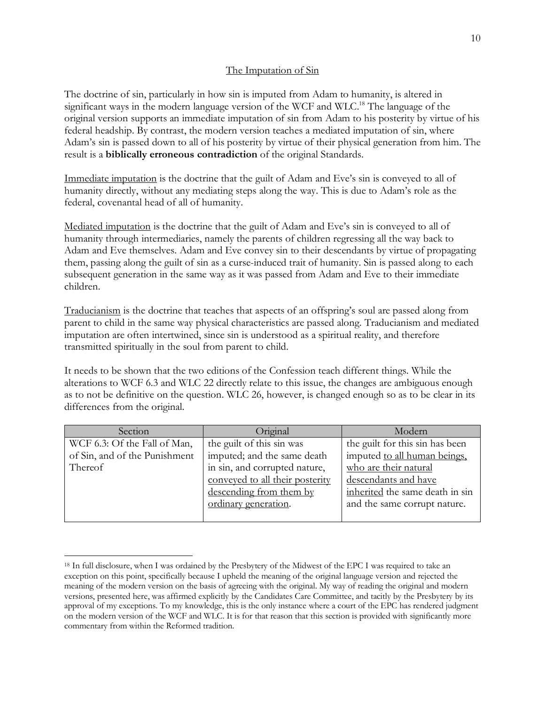#### The Imputation of Sin

The doctrine of sin, particularly in how sin is imputed from Adam to humanity, is altered in significant ways in the modern language version of the WCF and WLC.<sup>18</sup> The language of the original version supports an immediate imputation of sin from Adam to his posterity by virtue of his federal headship. By contrast, the modern version teaches a mediated imputation of sin, where Adam's sin is passed down to all of his posterity by virtue of their physical generation from him. The result is a **biblically erroneous contradiction** of the original Standards.

Immediate imputation is the doctrine that the guilt of Adam and Eve's sin is conveyed to all of humanity directly, without any mediating steps along the way. This is due to Adam's role as the federal, covenantal head of all of humanity.

Mediated imputation is the doctrine that the guilt of Adam and Eve's sin is conveyed to all of humanity through intermediaries, namely the parents of children regressing all the way back to Adam and Eve themselves. Adam and Eve convey sin to their descendants by virtue of propagating them, passing along the guilt of sin as a curse-induced trait of humanity. Sin is passed along to each subsequent generation in the same way as it was passed from Adam and Eve to their immediate children.

Traducianism is the doctrine that teaches that aspects of an offspring's soul are passed along from parent to child in the same way physical characteristics are passed along. Traducianism and mediated imputation are often intertwined, since sin is understood as a spiritual reality, and therefore transmitted spiritually in the soul from parent to child.

It needs to be shown that the two editions of the Confession teach different things. While the alterations to WCF 6.3 and WLC 22 directly relate to this issue, the changes are ambiguous enough as to not be definitive on the question. WLC 26, however, is changed enough so as to be clear in its differences from the original.

| Section                       | Original                        | Modern                          |
|-------------------------------|---------------------------------|---------------------------------|
| WCF 6.3: Of the Fall of Man,  | the guilt of this sin was       | the guilt for this sin has been |
| of Sin, and of the Punishment | imputed; and the same death     | imputed to all human beings,    |
| Thereof                       | in sin, and corrupted nature,   | who are their natural           |
|                               | conveyed to all their posterity | descendants and have            |
|                               | descending from them by         | inherited the same death in sin |
|                               | ordinary generation.            | and the same corrupt nature.    |
|                               |                                 |                                 |

<sup>&</sup>lt;sup>18</sup> In full disclosure, when I was ordained by the Presbytery of the Midwest of the EPC I was required to take an exception on this point, specifically because I upheld the meaning of the original language version and rejected the meaning of the modern version on the basis of agreeing with the original. My way of reading the original and modern versions, presented here, was affirmed explicitly by the Candidates Care Committee, and tacitly by the Presbytery by its approval of my exceptions. To my knowledge, this is the only instance where a court of the EPC has rendered judgment on the modern version of the WCF and WLC. It is for that reason that this section is provided with significantly more commentary from within the Reformed tradition.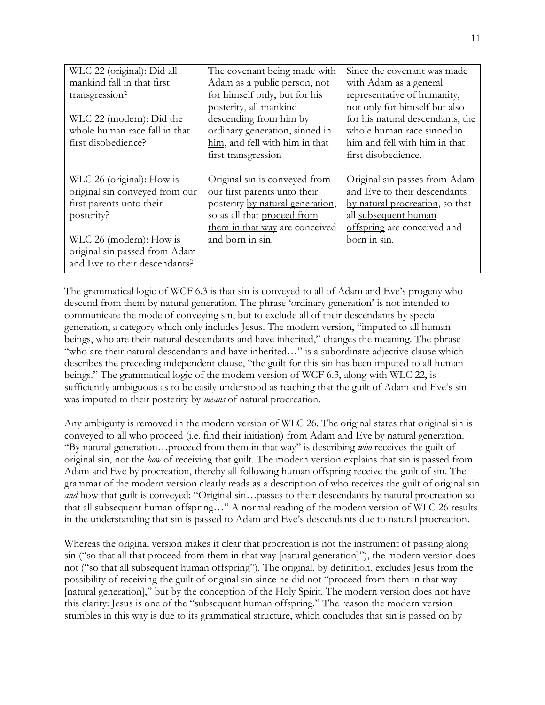| WLC 22 (original): Did all     | The covenant being made with     | Since the covenant was made      |
|--------------------------------|----------------------------------|----------------------------------|
| mankind fall in that first     | Adam as a public person, not     | with Adam as a general           |
| transgression?                 | for himself only, but for his    | representative of humanity.      |
|                                | posterity, all mankind           | not only for himself but also    |
| WLC 22 (modern): Did the       | descending from him by           | for his natural descendants, the |
| whole human race fall in that  | ordinary generation, sinned in   | whole human race sinned in       |
| first disobedience?            | him, and fell with him in that   | him and fell with him in that    |
|                                | first transgression              | first disobedience.              |
|                                |                                  |                                  |
| WLC 26 (original): How is      | Original sin is conveyed from    | Original sin passes from Adam    |
| original sin conveyed from our | our first parents unto their     | and Eve to their descendants     |
| first parents unto their       | posterity by natural generation, | by natural procreation, so that  |
| posterity?                     | so as all that proceed from      | all subsequent human             |
|                                | them in that way are conceived   | offspring are conceived and      |
| WLC 26 (modern): How is        | and born in sin.                 | born in sin.                     |
| original sin passed from Adam  |                                  |                                  |
| and Eve to their descendants?  |                                  |                                  |

The grammatical logic of WCF 6.3 is that sin is conveyed to all of Adam and Eve's progeny who descend from them by natural generation. The phrase 'ordinary generation' is not intended to communicate the mode of conveying sin, but to exclude all of their descendants by special generation, a category which only includes Jesus. The modern version, "imputed to all human beings, who are their natural descendants and have inherited," changes the meaning. The phrase "who are their natural descendants and have inherited…" is a subordinate adjective clause which describes the preceding independent clause, "the guilt for this sin has been imputed to all human beings." The grammatical logic of the modern version of WCF 6.3, along with WLC 22, is sufficiently ambiguous as to be easily understood as teaching that the guilt of Adam and Eve's sin was imputed to their posterity by *means* of natural procreation.

Any ambiguity is removed in the modern version of WLC 26. The original states that original sin is conveyed to all who proceed (i.e. find their initiation) from Adam and Eve by natural generation. "By natural generation…proceed from them in that way" is describing *who* receives the guilt of original sin, not the *how* of receiving that guilt. The modern version explains that sin is passed from Adam and Eve by procreation, thereby all following human offspring receive the guilt of sin. The grammar of the modern version clearly reads as a description of who receives the guilt of original sin *and* how that guilt is conveyed: "Original sin... passes to their descendants by natural procreation so that all subsequent human offspring…" A normal reading of the modern version of WLC 26 results in the understanding that sin is passed to Adam and Eve's descendants due to natural procreation.

Whereas the original version makes it clear that procreation is not the instrument of passing along sin ("so that all that proceed from them in that way [natural generation]"), the modern version does not ("so that all subsequent human offspring"). The original, by definition, excludes Jesus from the possibility of receiving the guilt of original sin since he did not "proceed from them in that way [natural generation]," but by the conception of the Holy Spirit. The modern version does not have this clarity: Jesus is one of the "subsequent human offspring." The reason the modern version stumbles in this way is due to its grammatical structure, which concludes that sin is passed on by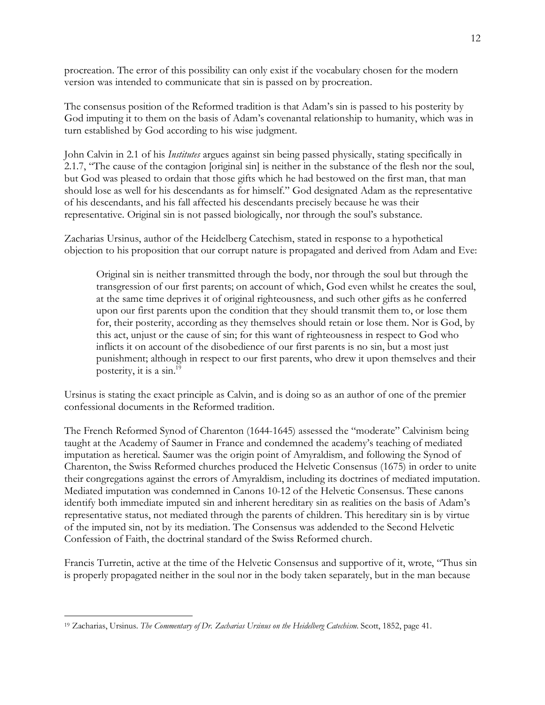procreation. The error of this possibility can only exist if the vocabulary chosen for the modern version was intended to communicate that sin is passed on by procreation.

The consensus position of the Reformed tradition is that Adam's sin is passed to his posterity by God imputing it to them on the basis of Adam's covenantal relationship to humanity, which was in turn established by God according to his wise judgment.

John Calvin in 2.1 of his *Institutes* argues against sin being passed physically, stating specifically in 2.1.7, "The cause of the contagion [original sin] is neither in the substance of the flesh nor the soul, but God was pleased to ordain that those gifts which he had bestowed on the first man, that man should lose as well for his descendants as for himself." God designated Adam as the representative of his descendants, and his fall affected his descendants precisely because he was their representative. Original sin is not passed biologically, nor through the soul's substance.

Zacharias Ursinus, author of the Heidelberg Catechism, stated in response to a hypothetical objection to his proposition that our corrupt nature is propagated and derived from Adam and Eve:

Original sin is neither transmitted through the body, nor through the soul but through the transgression of our first parents; on account of which, God even whilst he creates the soul, at the same time deprives it of original righteousness, and such other gifts as he conferred upon our first parents upon the condition that they should transmit them to, or lose them for, their posterity, according as they themselves should retain or lose them. Nor is God, by this act, unjust or the cause of sin; for this want of righteousness in respect to God who inflicts it on account of the disobedience of our first parents is no sin, but a most just punishment; although in respect to our first parents, who drew it upon themselves and their posterity, it is a sin.19

Ursinus is stating the exact principle as Calvin, and is doing so as an author of one of the premier confessional documents in the Reformed tradition.

The French Reformed Synod of Charenton (1644-1645) assessed the "moderate" Calvinism being taught at the Academy of Saumer in France and condemned the academy's teaching of mediated imputation as heretical. Saumer was the origin point of Amyraldism, and following the Synod of Charenton, the Swiss Reformed churches produced the Helvetic Consensus (1675) in order to unite their congregations against the errors of Amyraldism, including its doctrines of mediated imputation. Mediated imputation was condemned in Canons 10-12 of the Helvetic Consensus. These canons identify both immediate imputed sin and inherent hereditary sin as realities on the basis of Adam's representative status, not mediated through the parents of children. This hereditary sin is by virtue of the imputed sin, not by its mediation. The Consensus was addended to the Second Helvetic Confession of Faith, the doctrinal standard of the Swiss Reformed church.

Francis Turretin, active at the time of the Helvetic Consensus and supportive of it, wrote, "Thus sin is properly propagated neither in the soul nor in the body taken separately, but in the man because

 <sup>19</sup> Zacharias, Ursinus. *The Commentary of Dr. Zacharias Ursinus on the Heidelberg Catechism*. Scott, 1852, page 41.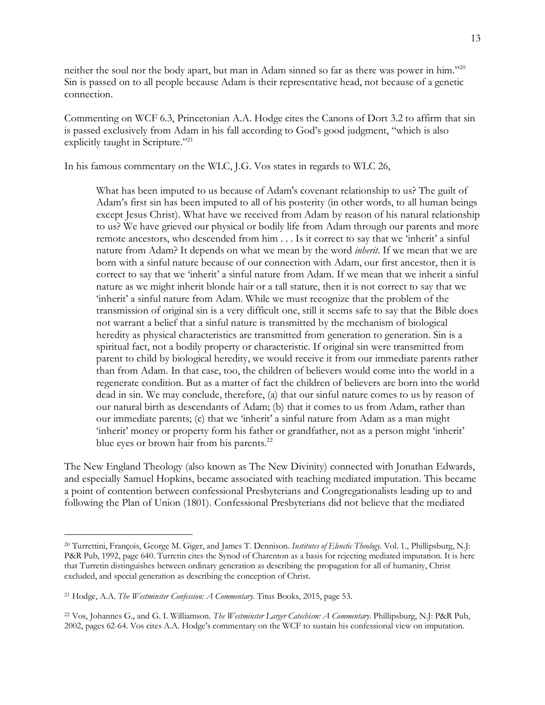neither the soul nor the body apart, but man in Adam sinned so far as there was power in him."20 Sin is passed on to all people because Adam is their representative head, not because of a genetic connection.

Commenting on WCF 6.3, Princetonian A.A. Hodge cites the Canons of Dort 3.2 to affirm that sin is passed exclusively from Adam in his fall according to God's good judgment, "which is also explicitly taught in Scripture."<sup>21</sup>

In his famous commentary on the WLC, J.G. Vos states in regards to WLC 26,

What has been imputed to us because of Adam's covenant relationship to us? The guilt of Adam's first sin has been imputed to all of his posterity (in other words, to all human beings except Jesus Christ). What have we received from Adam by reason of his natural relationship to us? We have grieved our physical or bodily life from Adam through our parents and more remote ancestors, who descended from him . . . Is it correct to say that we 'inherit' a sinful nature from Adam? It depends on what we mean by the word *inherit*. If we mean that we are born with a sinful nature because of our connection with Adam, our first ancestor, then it is correct to say that we 'inherit' a sinful nature from Adam. If we mean that we inherit a sinful nature as we might inherit blonde hair or a tall stature, then it is not correct to say that we 'inherit' a sinful nature from Adam. While we must recognize that the problem of the transmission of original sin is a very difficult one, still it seems safe to say that the Bible does not warrant a belief that a sinful nature is transmitted by the mechanism of biological heredity as physical characteristics are transmitted from generation to generation. Sin is a spiritual fact, not a bodily property or characteristic. If original sin were transmitted from parent to child by biological heredity, we would receive it from our immediate parents rather than from Adam. In that case, too, the children of believers would come into the world in a regenerate condition. But as a matter of fact the children of believers are born into the world dead in sin. We may conclude, therefore, (a) that our sinful nature comes to us by reason of our natural birth as descendants of Adam; (b) that it comes to us from Adam, rather than our immediate parents; (c) that we 'inherit' a sinful nature from Adam as a man might 'inherit' money or property form his father or grandfather, not as a person might 'inherit' blue eyes or brown hair from his parents.<sup>22</sup>

The New England Theology (also known as The New Divinity) connected with Jonathan Edwards, and especially Samuel Hopkins, became associated with teaching mediated imputation. This became a point of contention between confessional Presbyterians and Congregationalists leading up to and following the Plan of Union (1801). Confessional Presbyterians did not believe that the mediated

 <sup>20</sup> Turrettini, François, George M. Giger, and James T. Dennison. *Institutes of Elenctic Theology*. Vol. 1., Phillipsburg, N.J: P&R Pub, 1992, page 640. Turretin cites the Synod of Charenton as a basis for rejecting mediated imputation. It is here that Turretin distinguishes between ordinary generation as describing the propagation for all of humanity, Christ excluded, and special generation as describing the conception of Christ.

<sup>21</sup> Hodge, A.A. *The Westminster Confession: A Commentary*. Titus Books, 2015, page 53.

<sup>22</sup> Vos, Johannes G., and G. I. Williamson. *The Westminster Larger Catechism: A Commentary*. Phillipsburg, N.J: P&R Pub, 2002, pages 62-64. Vos cites A.A. Hodge's commentary on the WCF to sustain his confessional view on imputation.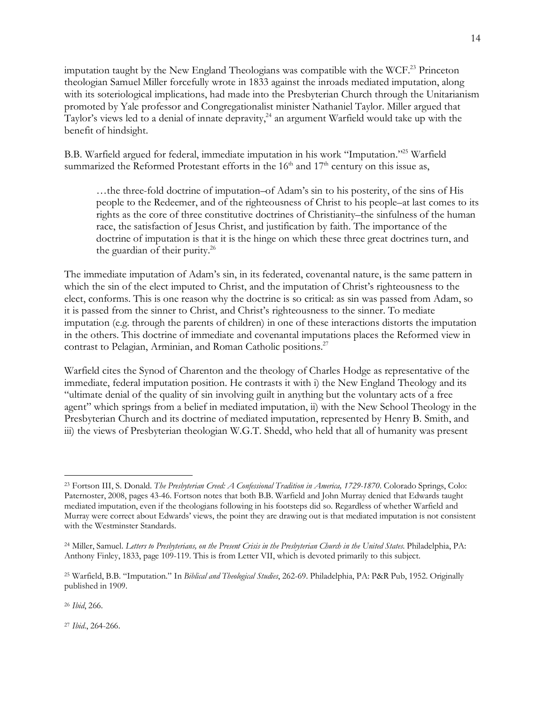imputation taught by the New England Theologians was compatible with the WCF.<sup>23</sup> Princeton theologian Samuel Miller forcefully wrote in 1833 against the inroads mediated imputation, along with its soteriological implications, had made into the Presbyterian Church through the Unitarianism promoted by Yale professor and Congregationalist minister Nathaniel Taylor. Miller argued that Taylor's views led to a denial of innate depravity,<sup>24</sup> an argument Warfield would take up with the benefit of hindsight.

B.B. Warfield argued for federal, immediate imputation in his work "Imputation."25 Warfield summarized the Reformed Protestant efforts in the  $16<sup>th</sup>$  and  $17<sup>th</sup>$  century on this issue as,

…the three-fold doctrine of imputation–of Adam's sin to his posterity, of the sins of His people to the Redeemer, and of the righteousness of Christ to his people–at last comes to its rights as the core of three constitutive doctrines of Christianity–the sinfulness of the human race, the satisfaction of Jesus Christ, and justification by faith. The importance of the doctrine of imputation is that it is the hinge on which these three great doctrines turn, and the guardian of their purity.<sup>26</sup>

The immediate imputation of Adam's sin, in its federated, covenantal nature, is the same pattern in which the sin of the elect imputed to Christ, and the imputation of Christ's righteousness to the elect, conforms. This is one reason why the doctrine is so critical: as sin was passed from Adam, so it is passed from the sinner to Christ, and Christ's righteousness to the sinner. To mediate imputation (e.g. through the parents of children) in one of these interactions distorts the imputation in the others. This doctrine of immediate and covenantal imputations places the Reformed view in contrast to Pelagian, Arminian, and Roman Catholic positions.<sup>27</sup>

Warfield cites the Synod of Charenton and the theology of Charles Hodge as representative of the immediate, federal imputation position. He contrasts it with i) the New England Theology and its "ultimate denial of the quality of sin involving guilt in anything but the voluntary acts of a free agent" which springs from a belief in mediated imputation, ii) with the New School Theology in the Presbyterian Church and its doctrine of mediated imputation, represented by Henry B. Smith, and iii) the views of Presbyterian theologian W.G.T. Shedd, who held that all of humanity was present

<sup>26</sup> *Ibid*, 266.

<sup>27</sup> *Ibid*., 264-266.

 <sup>23</sup> Fortson III, S. Donald. *The Presbyterian Creed: A Confessional Tradition in America, 1729-1870*. Colorado Springs, Colo: Paternoster, 2008, pages 43-46. Fortson notes that both B.B. Warfield and John Murray denied that Edwards taught mediated imputation, even if the theologians following in his footsteps did so. Regardless of whether Warfield and Murray were correct about Edwards' views, the point they are drawing out is that mediated imputation is not consistent with the Westminster Standards.

<sup>24</sup> Miller, Samuel. *Letters to Presbyterians, on the Present Crisis in the Presbyterian Church in the United States*. Philadelphia, PA: Anthony Finley, 1833, page 109-119. This is from Letter VII, which is devoted primarily to this subject.

<sup>25</sup> Warfield, B.B. "Imputation." In *Biblical and Theological Studies*, 262-69. Philadelphia, PA: P&R Pub, 1952. Originally published in 1909.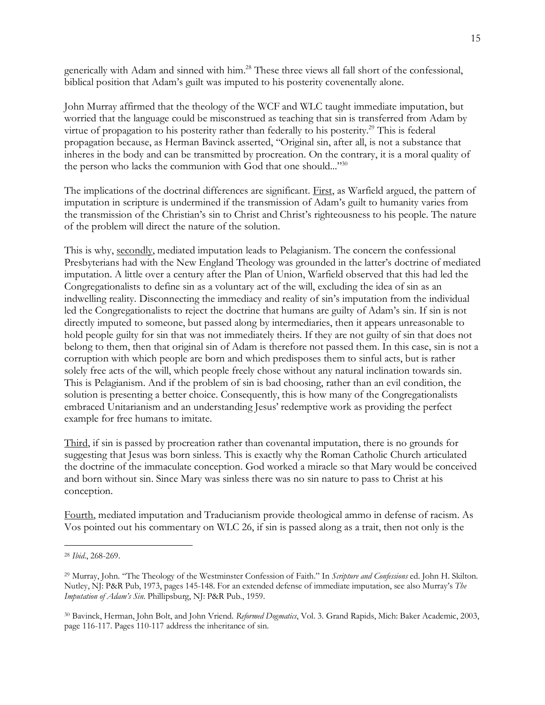generically with Adam and sinned with him.28 These three views all fall short of the confessional, biblical position that Adam's guilt was imputed to his posterity covenentally alone.

John Murray affirmed that the theology of the WCF and WLC taught immediate imputation, but worried that the language could be misconstrued as teaching that sin is transferred from Adam by virtue of propagation to his posterity rather than federally to his posterity.<sup>29</sup> This is federal propagation because, as Herman Bavinck asserted, "Original sin, after all, is not a substance that inheres in the body and can be transmitted by procreation. On the contrary, it is a moral quality of the person who lacks the communion with God that one should..."<sup>30</sup>

The implications of the doctrinal differences are significant. First, as Warfield argued, the pattern of imputation in scripture is undermined if the transmission of Adam's guilt to humanity varies from the transmission of the Christian's sin to Christ and Christ's righteousness to his people. The nature of the problem will direct the nature of the solution.

This is why, secondly, mediated imputation leads to Pelagianism. The concern the confessional Presbyterians had with the New England Theology was grounded in the latter's doctrine of mediated imputation. A little over a century after the Plan of Union, Warfield observed that this had led the Congregationalists to define sin as a voluntary act of the will, excluding the idea of sin as an indwelling reality. Disconnecting the immediacy and reality of sin's imputation from the individual led the Congregationalists to reject the doctrine that humans are guilty of Adam's sin. If sin is not directly imputed to someone, but passed along by intermediaries, then it appears unreasonable to hold people guilty for sin that was not immediately theirs. If they are not guilty of sin that does not belong to them, then that original sin of Adam is therefore not passed them. In this case, sin is not a corruption with which people are born and which predisposes them to sinful acts, but is rather solely free acts of the will, which people freely chose without any natural inclination towards sin. This is Pelagianism. And if the problem of sin is bad choosing, rather than an evil condition, the solution is presenting a better choice. Consequently, this is how many of the Congregationalists embraced Unitarianism and an understanding Jesus' redemptive work as providing the perfect example for free humans to imitate.

Third, if sin is passed by procreation rather than covenantal imputation, there is no grounds for suggesting that Jesus was born sinless. This is exactly why the Roman Catholic Church articulated the doctrine of the immaculate conception. God worked a miracle so that Mary would be conceived and born without sin. Since Mary was sinless there was no sin nature to pass to Christ at his conception.

Fourth, mediated imputation and Traducianism provide theological ammo in defense of racism. As Vos pointed out his commentary on WLC 26, if sin is passed along as a trait, then not only is the

 <sup>28</sup> *Ibid*., 268-269.

<sup>29</sup> Murray, John. "The Theology of the Westminster Confession of Faith." In *Scripture and Confessions* ed. John H. Skilton. Nutley, NJ: P&R Pub, 1973, pages 145-148. For an extended defense of immediate imputation, see also Murray's *The Imputation of Adam's Sin*. Phillipsburg, NJ: P&R Pub., 1959.

<sup>30</sup> Bavinck, Herman, John Bolt, and John Vriend. *Reformed Dogmatics*, Vol. 3. Grand Rapids, Mich: Baker Academic, 2003, page 116-117. Pages 110-117 address the inheritance of sin.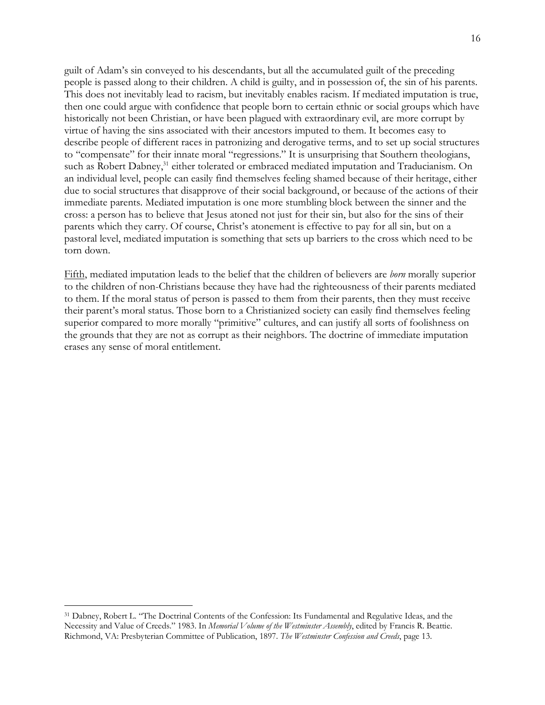guilt of Adam's sin conveyed to his descendants, but all the accumulated guilt of the preceding people is passed along to their children. A child is guilty, and in possession of, the sin of his parents. This does not inevitably lead to racism, but inevitably enables racism. If mediated imputation is true, then one could argue with confidence that people born to certain ethnic or social groups which have historically not been Christian, or have been plagued with extraordinary evil, are more corrupt by virtue of having the sins associated with their ancestors imputed to them. It becomes easy to describe people of different races in patronizing and derogative terms, and to set up social structures to "compensate" for their innate moral "regressions." It is unsurprising that Southern theologians, such as Robert Dabney,<sup>31</sup> either tolerated or embraced mediated imputation and Traducianism. On an individual level, people can easily find themselves feeling shamed because of their heritage, either due to social structures that disapprove of their social background, or because of the actions of their immediate parents. Mediated imputation is one more stumbling block between the sinner and the cross: a person has to believe that Jesus atoned not just for their sin, but also for the sins of their parents which they carry. Of course, Christ's atonement is effective to pay for all sin, but on a pastoral level, mediated imputation is something that sets up barriers to the cross which need to be torn down.

Fifth, mediated imputation leads to the belief that the children of believers are *born* morally superior to the children of non-Christians because they have had the righteousness of their parents mediated to them. If the moral status of person is passed to them from their parents, then they must receive their parent's moral status. Those born to a Christianized society can easily find themselves feeling superior compared to more morally "primitive" cultures, and can justify all sorts of foolishness on the grounds that they are not as corrupt as their neighbors. The doctrine of immediate imputation erases any sense of moral entitlement.

 <sup>31</sup> Dabney, Robert L. "The Doctrinal Contents of the Confession: Its Fundamental and Regulative Ideas, and the Necessity and Value of Creeds." 1983. In *Memorial Volume of the Westminster Assembly*, edited by Francis R. Beattie. Richmond, VA: Presbyterian Committee of Publication, 1897. *The Westminster Confession and Creeds*, page 13.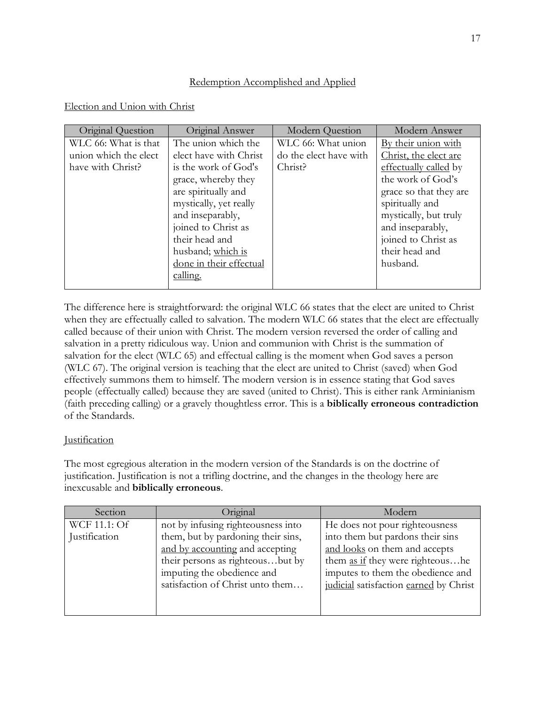## Redemption Accomplished and Applied

## Election and Union with Christ

| Original Question     | Original Answer         | <b>Modern Question</b> | Modern Answer          |
|-----------------------|-------------------------|------------------------|------------------------|
| WLC 66: What is that  | The union which the     | WLC 66: What union     | By their union with    |
| union which the elect | elect have with Christ  | do the elect have with | Christ, the elect are  |
| have with Christ?     | is the work of God's    | Christ?                | effectually called by  |
|                       | grace, whereby they     |                        | the work of God's      |
|                       | are spiritually and     |                        | grace so that they are |
|                       | mystically, yet really  |                        | spiritually and        |
|                       | and inseparably,        |                        | mystically, but truly  |
|                       | joined to Christ as     |                        | and inseparably,       |
|                       | their head and          |                        | joined to Christ as    |
|                       | husband; which is       |                        | their head and         |
|                       | done in their effectual |                        | husband.               |
|                       | calling.                |                        |                        |
|                       |                         |                        |                        |

The difference here is straightforward: the original WLC 66 states that the elect are united to Christ when they are effectually called to salvation. The modern WLC 66 states that the elect are effectually called because of their union with Christ. The modern version reversed the order of calling and salvation in a pretty ridiculous way. Union and communion with Christ is the summation of salvation for the elect (WLC 65) and effectual calling is the moment when God saves a person (WLC 67). The original version is teaching that the elect are united to Christ (saved) when God effectively summons them to himself. The modern version is in essence stating that God saves people (effectually called) because they are saved (united to Christ). This is either rank Arminianism (faith preceding calling) or a gravely thoughtless error. This is a **biblically erroneous contradiction** of the Standards.

## **Justification**

The most egregious alteration in the modern version of the Standards is on the doctrine of justification. Justification is not a trifling doctrine, and the changes in the theology here are inexcusable and **biblically erroneous**.

| Section             | Original                           | Modern                                  |
|---------------------|------------------------------------|-----------------------------------------|
| <b>WCF 11.1: Of</b> | not by infusing righteousness into | He does not pour righteousness          |
| Justification       | them, but by pardoning their sins, | into them but pardons their sins        |
|                     | and by accounting and accepting    | and looks on them and accepts           |
|                     | their persons as righteousbut by   | them <u>as if</u> they were righteoushe |
|                     | imputing the obedience and         | imputes to them the obedience and       |
|                     | satisfaction of Christ unto them   | judicial satisfaction earned by Christ  |
|                     |                                    |                                         |
|                     |                                    |                                         |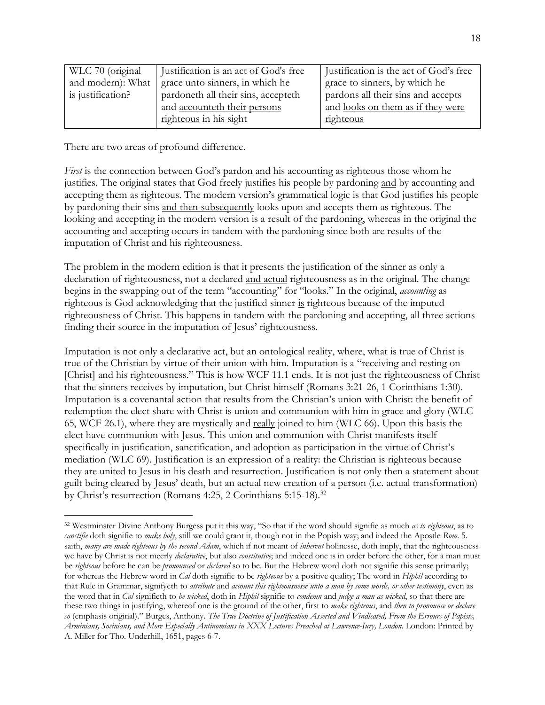| WLC 70 (original  | Justification is an act of God's free | Justification is the act of God's free   |
|-------------------|---------------------------------------|------------------------------------------|
| and modern): What | grace unto sinners, in which he       | grace to sinners, by which he            |
| is justification? | pardoneth all their sins, accepteth   | pardons all their sins and accepts       |
|                   | and accounteth their persons          | and <u>looks on them as if they were</u> |
|                   | righteous in his sight                | righteous                                |

There are two areas of profound difference.

*First* is the connection between God's pardon and his accounting as righteous those whom he justifies. The original states that God freely justifies his people by pardoning and by accounting and accepting them as righteous. The modern version's grammatical logic is that God justifies his people by pardoning their sins and then subsequently looks upon and accepts them as righteous. The looking and accepting in the modern version is a result of the pardoning, whereas in the original the accounting and accepting occurs in tandem with the pardoning since both are results of the imputation of Christ and his righteousness.

The problem in the modern edition is that it presents the justification of the sinner as only a declaration of righteousness, not a declared and actual righteousness as in the original. The change begins in the swapping out of the term "accounting" for "looks." In the original, *accounting* as righteous is God acknowledging that the justified sinner is righteous because of the imputed righteousness of Christ. This happens in tandem with the pardoning and accepting, all three actions finding their source in the imputation of Jesus' righteousness.

Imputation is not only a declarative act, but an ontological reality, where, what is true of Christ is true of the Christian by virtue of their union with him. Imputation is a "receiving and resting on [Christ] and his righteousness." This is how WCF 11.1 ends. It is not just the righteousness of Christ that the sinners receives by imputation, but Christ himself (Romans 3:21-26, 1 Corinthians 1:30). Imputation is a covenantal action that results from the Christian's union with Christ: the benefit of redemption the elect share with Christ is union and communion with him in grace and glory (WLC 65, WCF 26.1), where they are mystically and really joined to him (WLC 66). Upon this basis the elect have communion with Jesus. This union and communion with Christ manifests itself specifically in justification, sanctification, and adoption as participation in the virtue of Christ's mediation (WLC 69). Justification is an expression of a reality: the Christian is righteous because they are united to Jesus in his death and resurrection. Justification is not only then a statement about guilt being cleared by Jesus' death, but an actual new creation of a person (i.e. actual transformation) by Christ's resurrection (Romans 4:25, 2 Corinthians 5:15-18).<sup>32</sup>

 <sup>32</sup> Westminster Divine Anthony Burgess put it this way, "So that if the word should signifie as much *as to righteous*, as to *sanctifie* doth signifie to *make holy*, still we could grant it, though not in the Popish way; and indeed the Apostle *Rom*. 5. saith, *many are made righteous by the second Adam*, which if not meant of *inherent* holinesse, doth imply, that the righteousness we have by Christ is not meerly *declarative*, but also *constitutive*; and indeed one is in order before the other, for a man must be *righteous* before he can be *pronounced* or *declared* so to be. But the Hebrew word doth not signifie this sense primarily; for whereas the Hebrew word in *Cal* doth signifie to be *righteous* by a positive quality; The word in *Hiphil* according to that Rule in Grammar, signifyeth to *attribute* and *account this righteousnesse unto a man by some words, or other testimony*, even as the word that in *Cal* signifieth to *be wicked*, doth in *Hiphil* signifie to *condemn* and *judge a man as wicked*, so that there are these two things in justifying, whereof one is the ground of the other, first to *make righteous*, and *then to pronounce or declare so* (emphasis original)." Burges, Anthony. *The True Doctrine of Justification Asserted and Vindicated, From the Errours of Papists, Arminians, Socinians, and More Especially Antinomians in XXX Lectures Preached at Lawrence-Iury, London*. London: Printed by A. Miller for Tho. Underhill, 1651, pages 6-7.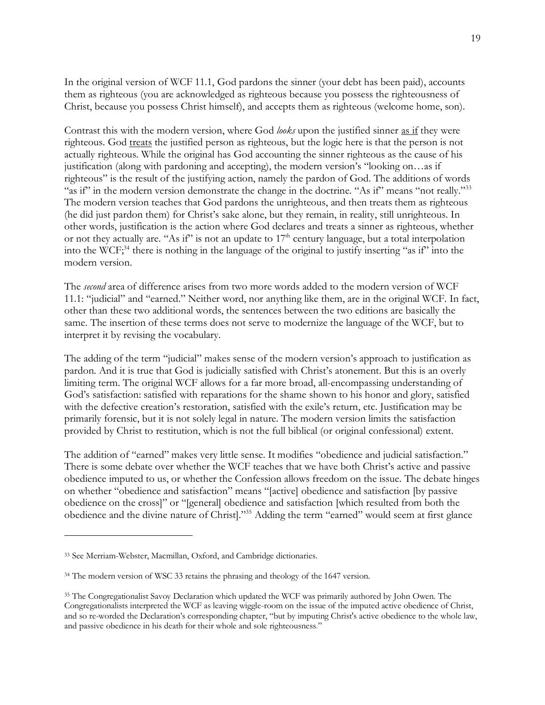In the original version of WCF 11.1, God pardons the sinner (your debt has been paid), accounts them as righteous (you are acknowledged as righteous because you possess the righteousness of Christ, because you possess Christ himself), and accepts them as righteous (welcome home, son).

Contrast this with the modern version, where God *looks* upon the justified sinner as if they were righteous. God treats the justified person as righteous, but the logic here is that the person is not actually righteous. While the original has God accounting the sinner righteous as the cause of his justification (along with pardoning and accepting), the modern version's "looking on…as if righteous" is the result of the justifying action, namely the pardon of God. The additions of words "as if" in the modern version demonstrate the change in the doctrine. "As if" means "not really."<sup>33</sup> The modern version teaches that God pardons the unrighteous, and then treats them as righteous (he did just pardon them) for Christ's sake alone, but they remain, in reality, still unrighteous. In other words, justification is the action where God declares and treats a sinner as righteous, whether or not they actually are. "As if" is not an update to  $17<sup>th</sup>$  century language, but a total interpolation into the WCF; <sup>34</sup> there is nothing in the language of the original to justify inserting "as if" into the modern version.

The *second* area of difference arises from two more words added to the modern version of WCF 11.1: "judicial" and "earned." Neither word, nor anything like them, are in the original WCF. In fact, other than these two additional words, the sentences between the two editions are basically the same. The insertion of these terms does not serve to modernize the language of the WCF, but to interpret it by revising the vocabulary.

The adding of the term "judicial" makes sense of the modern version's approach to justification as pardon. And it is true that God is judicially satisfied with Christ's atonement. But this is an overly limiting term. The original WCF allows for a far more broad, all-encompassing understanding of God's satisfaction: satisfied with reparations for the shame shown to his honor and glory, satisfied with the defective creation's restoration, satisfied with the exile's return, etc. Justification may be primarily forensic, but it is not solely legal in nature. The modern version limits the satisfaction provided by Christ to restitution, which is not the full biblical (or original confessional) extent.

The addition of "earned" makes very little sense. It modifies "obedience and judicial satisfaction." There is some debate over whether the WCF teaches that we have both Christ's active and passive obedience imputed to us, or whether the Confession allows freedom on the issue. The debate hinges on whether "obedience and satisfaction" means "[active] obedience and satisfaction [by passive obedience on the cross]" or "[general] obedience and satisfaction [which resulted from both the obedience and the divine nature of Christ]."35 Adding the term "earned" would seem at first glance

 $\overline{a}$ 

<sup>33</sup> See Merriam-Webster, Macmillan, Oxford, and Cambridge dictionaries.

<sup>&</sup>lt;sup>34</sup> The modern version of WSC 33 retains the phrasing and theology of the 1647 version.

<sup>35</sup> The Congregationalist Savoy Declaration which updated the WCF was primarily authored by John Owen. The Congregationalists interpreted the WCF as leaving wiggle-room on the issue of the imputed active obedience of Christ, and so re-worded the Declaration's corresponding chapter, "but by imputing Christ's active obedience to the whole law, and passive obedience in his death for their whole and sole righteousness."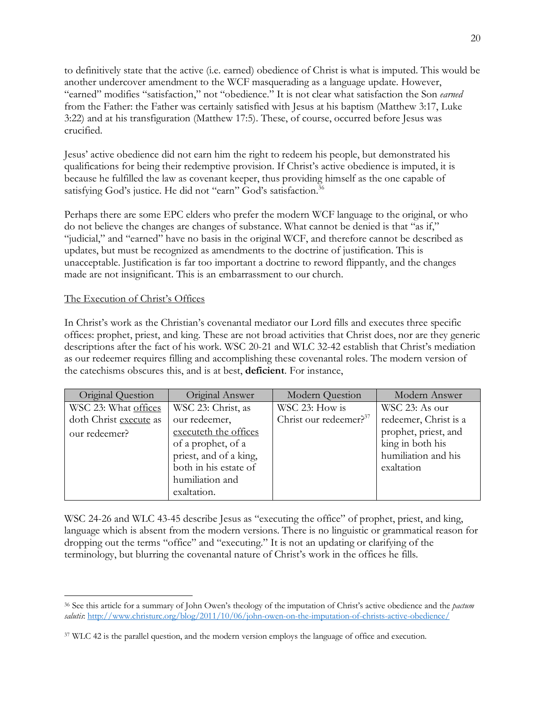to definitively state that the active (i.e. earned) obedience of Christ is what is imputed. This would be another undercover amendment to the WCF masquerading as a language update. However, "earned" modifies "satisfaction," not "obedience." It is not clear what satisfaction the Son *earned* from the Father: the Father was certainly satisfied with Jesus at his baptism (Matthew 3:17, Luke 3:22) and at his transfiguration (Matthew 17:5). These, of course, occurred before Jesus was crucified.

Jesus' active obedience did not earn him the right to redeem his people, but demonstrated his qualifications for being their redemptive provision. If Christ's active obedience is imputed, it is because he fulfilled the law as covenant keeper, thus providing himself as the one capable of satisfying God's justice. He did not "earn" God's satisfaction.<sup>36</sup>

Perhaps there are some EPC elders who prefer the modern WCF language to the original, or who do not believe the changes are changes of substance. What cannot be denied is that "as if," "judicial," and "earned" have no basis in the original WCF, and therefore cannot be described as updates, but must be recognized as amendments to the doctrine of justification. This is unacceptable. Justification is far too important a doctrine to reword flippantly, and the changes made are not insignificant. This is an embarrassment to our church.

### The Execution of Christ's Offices

In Christ's work as the Christian's covenantal mediator our Lord fills and executes three specific offices: prophet, priest, and king. These are not broad activities that Christ does, nor are they generic descriptions after the fact of his work. WSC 20-21 and WLC 32-42 establish that Christ's mediation as our redeemer requires filling and accomplishing these covenantal roles. The modern version of the catechisms obscures this, and is at best, **deficient**. For instance,

| Original Question      | Original Answer        | Modern Question                    | Modern Answer         |
|------------------------|------------------------|------------------------------------|-----------------------|
| WSC 23: What offices   | WSC 23: Christ, as     | WSC 23: How is                     | WSC 23: As our        |
| doth Christ execute as | our redeemer,          | Christ our redeemer? <sup>37</sup> | redeemer, Christ is a |
| our redeemer?          | executeth the offices  |                                    | prophet, priest, and  |
|                        | of a prophet, of a     |                                    | king in both his      |
|                        | priest, and of a king, |                                    | humiliation and his   |
|                        | both in his estate of  |                                    | exaltation            |
|                        | humiliation and        |                                    |                       |
|                        | exaltation.            |                                    |                       |

WSC 24-26 and WLC 43-45 describe Jesus as "executing the office" of prophet, priest, and king, language which is absent from the modern versions. There is no linguistic or grammatical reason for dropping out the terms "office" and "executing." It is not an updating or clarifying of the terminology, but blurring the covenantal nature of Christ's work in the offices he fills.

 <sup>36</sup> See this article for a summary of John Owen's theology of the imputation of Christ's active obedience and the *pactum salutis*: http://www.christurc.org/blog/2011/10/06/john-owen-on-the-imputation-of-christs-active-obedience/

<sup>&</sup>lt;sup>37</sup> WLC 42 is the parallel question, and the modern version employs the language of office and execution.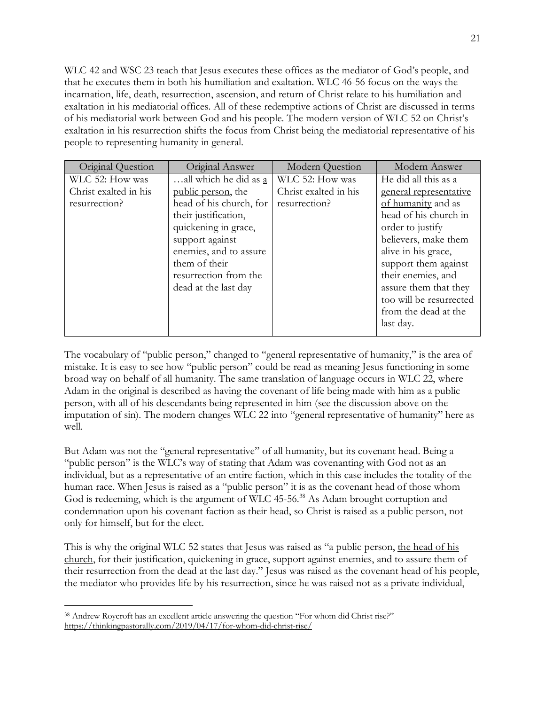WLC 42 and WSC 23 teach that Jesus executes these offices as the mediator of God's people, and that he executes them in both his humiliation and exaltation. WLC 46-56 focus on the ways the incarnation, life, death, resurrection, ascension, and return of Christ relate to his humiliation and exaltation in his mediatorial offices. All of these redemptive actions of Christ are discussed in terms of his mediatorial work between God and his people. The modern version of WLC 52 on Christ's exaltation in his resurrection shifts the focus from Christ being the mediatorial representative of his people to representing humanity in general.

| Original Question     | Original Answer         | Modern Question       | Modern Answer           |
|-----------------------|-------------------------|-----------------------|-------------------------|
| WLC 52: How was       | all which he did as a   | WLC 52: How was       | He did all this as a    |
| Christ exalted in his | public person, the      | Christ exalted in his | general representative  |
| resurrection?         | head of his church, for | resurrection?         | of humanity and as      |
|                       | their justification,    |                       | head of his church in   |
|                       | quickening in grace,    |                       | order to justify        |
|                       | support against         |                       | believers, make them    |
|                       | enemies, and to assure  |                       | alive in his grace,     |
|                       | them of their           |                       | support them against    |
|                       | resurrection from the   |                       | their enemies, and      |
|                       | dead at the last day    |                       | assure them that they   |
|                       |                         |                       | too will be resurrected |
|                       |                         |                       | from the dead at the    |
|                       |                         |                       | last day.               |
|                       |                         |                       |                         |

The vocabulary of "public person," changed to "general representative of humanity," is the area of mistake. It is easy to see how "public person" could be read as meaning Jesus functioning in some broad way on behalf of all humanity. The same translation of language occurs in WLC 22, where Adam in the original is described as having the covenant of life being made with him as a public person, with all of his descendants being represented in him (see the discussion above on the imputation of sin). The modern changes WLC 22 into "general representative of humanity" here as well.

But Adam was not the "general representative" of all humanity, but its covenant head. Being a "public person" is the WLC's way of stating that Adam was covenanting with God not as an individual, but as a representative of an entire faction, which in this case includes the totality of the human race. When Jesus is raised as a "public person" it is as the covenant head of those whom God is redeeming, which is the argument of WLC 45-56.<sup>38</sup> As Adam brought corruption and condemnation upon his covenant faction as their head, so Christ is raised as a public person, not only for himself, but for the elect.

This is why the original WLC 52 states that Jesus was raised as "a public person, the head of his church, for their justification, quickening in grace, support against enemies, and to assure them of their resurrection from the dead at the last day." Jesus was raised as the covenant head of his people, the mediator who provides life by his resurrection, since he was raised not as a private individual,

 <sup>38</sup> Andrew Roycroft has an excellent article answering the question "For whom did Christ rise?" https://thinkingpastorally.com/2019/04/17/for-whom-did-christ-rise/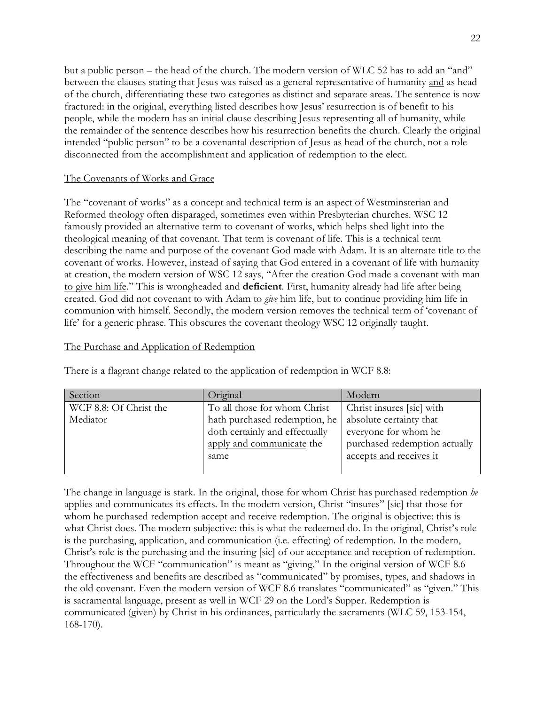but a public person – the head of the church. The modern version of WLC 52 has to add an "and" between the clauses stating that Jesus was raised as a general representative of humanity and as head of the church, differentiating these two categories as distinct and separate areas. The sentence is now fractured: in the original, everything listed describes how Jesus' resurrection is of benefit to his people, while the modern has an initial clause describing Jesus representing all of humanity, while the remainder of the sentence describes how his resurrection benefits the church. Clearly the original intended "public person" to be a covenantal description of Jesus as head of the church, not a role disconnected from the accomplishment and application of redemption to the elect.

#### The Covenants of Works and Grace

The "covenant of works" as a concept and technical term is an aspect of Westminsterian and Reformed theology often disparaged, sometimes even within Presbyterian churches. WSC 12 famously provided an alternative term to covenant of works, which helps shed light into the theological meaning of that covenant. That term is covenant of life. This is a technical term describing the name and purpose of the covenant God made with Adam. It is an alternate title to the covenant of works. However, instead of saying that God entered in a covenant of life with humanity at creation, the modern version of WSC 12 says, "After the creation God made a covenant with man to give him life." This is wrongheaded and **deficient**. First, humanity already had life after being created. God did not covenant to with Adam to *give* him life, but to continue providing him life in communion with himself. Secondly, the modern version removes the technical term of 'covenant of life' for a generic phrase. This obscures the covenant theology WSC 12 originally taught.

#### The Purchase and Application of Redemption

| Section                | Original                       | Modern                        |
|------------------------|--------------------------------|-------------------------------|
| WCF 8.8: Of Christ the | To all those for whom Christ   | Christ insures [sic] with     |
| Mediator               | hath purchased redemption, he  | absolute certainty that       |
|                        | doth certainly and effectually | everyone for whom he          |
|                        | apply and communicate the      | purchased redemption actually |
|                        | same                           | accepts and receives it       |
|                        |                                |                               |

There is a flagrant change related to the application of redemption in WCF 8.8:

The change in language is stark. In the original, those for whom Christ has purchased redemption *he* applies and communicates its effects. In the modern version, Christ "insures" [sic] that those for whom he purchased redemption accept and receive redemption. The original is objective: this is what Christ does. The modern subjective: this is what the redeemed do. In the original, Christ's role is the purchasing, application, and communication (i.e. effecting) of redemption. In the modern, Christ's role is the purchasing and the insuring [sic] of our acceptance and reception of redemption. Throughout the WCF "communication" is meant as "giving." In the original version of WCF 8.6 the effectiveness and benefits are described as "communicated" by promises, types, and shadows in the old covenant. Even the modern version of WCF 8.6 translates "communicated" as "given." This is sacramental language, present as well in WCF 29 on the Lord's Supper. Redemption is communicated (given) by Christ in his ordinances, particularly the sacraments (WLC 59, 153-154, 168-170).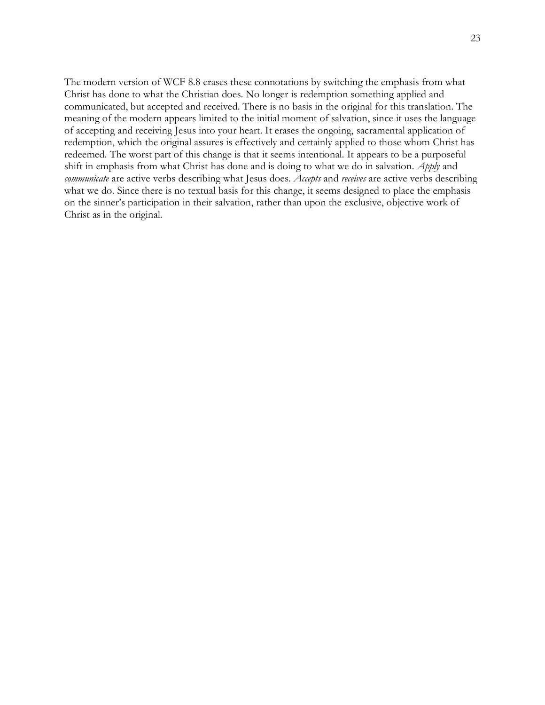The modern version of WCF 8.8 erases these connotations by switching the emphasis from what Christ has done to what the Christian does. No longer is redemption something applied and communicated, but accepted and received. There is no basis in the original for this translation. The meaning of the modern appears limited to the initial moment of salvation, since it uses the language of accepting and receiving Jesus into your heart. It erases the ongoing, sacramental application of redemption, which the original assures is effectively and certainly applied to those whom Christ has redeemed. The worst part of this change is that it seems intentional. It appears to be a purposeful shift in emphasis from what Christ has done and is doing to what we do in salvation. *Apply* and *communicate* are active verbs describing what Jesus does. *Accepts* and *receives* are active verbs describing what we do. Since there is no textual basis for this change, it seems designed to place the emphasis on the sinner's participation in their salvation, rather than upon the exclusive, objective work of Christ as in the original.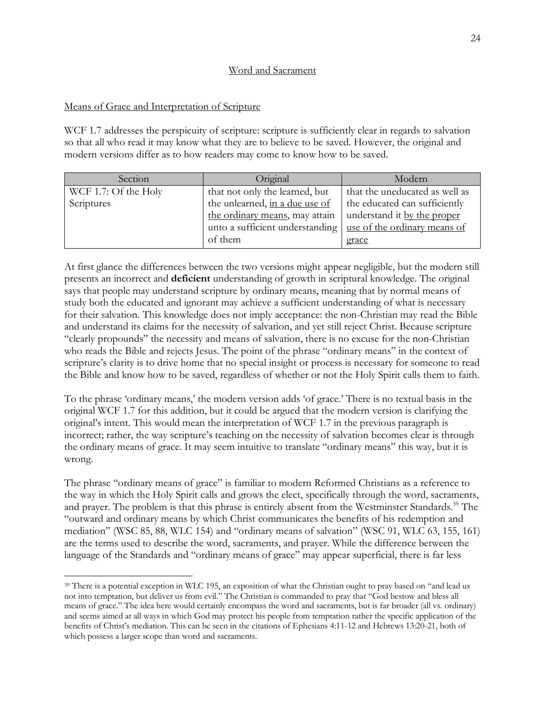#### Word and Sacrament

#### Means of Grace and Interpretation of Scripture

WCF 1.7 addresses the perspicuity of scripture: scripture is sufficiently clear in regards to salvation so that all who read it may know what they are to believe to be saved. However, the original and modern versions differ as to how readers may come to know how to be saved.

| Section              | Original                        | Modern                         |
|----------------------|---------------------------------|--------------------------------|
| WCF 1.7: Of the Holy | that not only the learned, but  | that the uneducated as well as |
| Scriptures           | the unlearned, in a due use of  | the educated can sufficiently  |
|                      | the ordinary means, may attain  | understand it by the proper    |
|                      | unto a sufficient understanding | use of the ordinary means of   |
|                      | of them                         | grace                          |

At first glance the differences between the two versions might appear negligible, but the modern still presents an incorrect and **deficient** understanding of growth in scriptural knowledge. The original says that people may understand scripture by ordinary means, meaning that by normal means of study both the educated and ignorant may achieve a sufficient understanding of what is necessary for their salvation. This knowledge does not imply acceptance: the non-Christian may read the Bible and understand its claims for the necessity of salvation, and yet still reject Christ. Because scripture "clearly propounds" the necessity and means of salvation, there is no excuse for the non-Christian who reads the Bible and rejects Jesus. The point of the phrase "ordinary means" in the context of scripture's clarity is to drive home that no special insight or process is necessary for someone to read the Bible and know how to be saved, regardless of whether or not the Holy Spirit calls them to faith.

To the phrase 'ordinary means,' the modern version adds 'of grace.' There is no textual basis in the original WCF 1.7 for this addition, but it could be argued that the modern version is clarifying the original's intent. This would mean the interpretation of WCF 1.7 in the previous paragraph is incorrect; rather, the way scripture's teaching on the necessity of salvation becomes clear is through the ordinary means of grace. It may seem intuitive to translate "ordinary means" this way, but it is wrong.

The phrase "ordinary means of grace" is familiar to modern Reformed Christians as a reference to the way in which the Holy Spirit calls and grows the elect, specifically through the word, sacraments, and prayer. The problem is that this phrase is entirely absent from the Westminster Standards.<sup>39</sup> The "outward and ordinary means by which Christ communicates the benefits of his redemption and mediation" (WSC 85, 88, WLC 154) and "ordinary means of salvation" (WSC 91, WLC 63, 155, 161) are the terms used to describe the word, sacraments, and prayer. While the difference between the language of the Standards and "ordinary means of grace" may appear superficial, there is far less

<sup>&</sup>lt;sup>39</sup> There is a potential exception in WLC 195, an exposition of what the Christian ought to pray based on "and lead us not into temptation, but deliver us from evil." The Christian is commanded to pray that "God bestow and bless all means of grace." The idea here would certainly encompass the word and sacraments, but is far broader (all vs. ordinary) and seems aimed at all ways in which God may protect his people from temptation rather the specific application of the benefits of Christ's mediation. This can be seen in the citations of Ephesians 4:11-12 and Hebrews 13:20-21, both of which possess a larger scope than word and sacraments.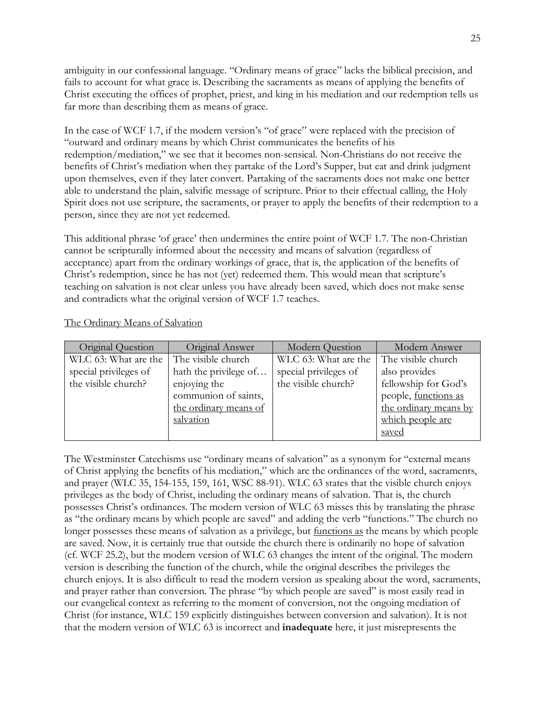ambiguity in our confessional language. "Ordinary means of grace" lacks the biblical precision, and fails to account for what grace is. Describing the sacraments as means of applying the benefits of Christ executing the offices of prophet, priest, and king in his mediation and our redemption tells us far more than describing them as means of grace.

In the case of WCF 1.7, if the modern version's "of grace" were replaced with the precision of "outward and ordinary means by which Christ communicates the benefits of his redemption/mediation," we see that it becomes non-sensical. Non-Christians do not receive the benefits of Christ's mediation when they partake of the Lord's Supper, but eat and drink judgment upon themselves, even if they later convert. Partaking of the sacraments does not make one better able to understand the plain, salvific message of scripture. Prior to their effectual calling, the Holy Spirit does not use scripture, the sacraments, or prayer to apply the benefits of their redemption to a person, since they are not yet redeemed.

This additional phrase 'of grace' then undermines the entire point of WCF 1.7. The non-Christian cannot be scripturally informed about the necessity and means of salvation (regardless of acceptance) apart from the ordinary workings of grace, that is, the application of the benefits of Christ's redemption, since he has not (yet) redeemed them. This would mean that scripture's teaching on salvation is not clear unless you have already been saved, which does not make sense and contradicts what the original version of WCF 1.7 teaches.

| Original Question     | Original Answer       | <b>Modern Question</b> | Modern Answer         |
|-----------------------|-----------------------|------------------------|-----------------------|
| WLC 63: What are the  | The visible church    | WLC 63: What are the   | The visible church    |
| special privileges of | hath the privilege of | special privileges of  | also provides         |
| the visible church?   | enjoying the          | the visible church?    | fellowship for God's  |
|                       | communion of saints,  |                        | people, functions as  |
|                       | the ordinary means of |                        | the ordinary means by |
|                       | salvation             |                        | which people are      |
|                       |                       |                        | saved                 |

The Ordinary Means of Salvation

The Westminster Catechisms use "ordinary means of salvation" as a synonym for "external means of Christ applying the benefits of his mediation," which are the ordinances of the word, sacraments, and prayer (WLC 35, 154-155, 159, 161, WSC 88-91). WLC 63 states that the visible church enjoys privileges as the body of Christ, including the ordinary means of salvation. That is, the church possesses Christ's ordinances. The modern version of WLC 63 misses this by translating the phrase as "the ordinary means by which people are saved" and adding the verb "functions." The church no longer possesses these means of salvation as a privilege, but functions as the means by which people are saved. Now, it is certainly true that outside the church there is ordinarily no hope of salvation (cf. WCF 25.2), but the modern version of WLC 63 changes the intent of the original. The modern version is describing the function of the church, while the original describes the privileges the church enjoys. It is also difficult to read the modern version as speaking about the word, sacraments, and prayer rather than conversion. The phrase "by which people are saved" is most easily read in our evangelical context as referring to the moment of conversion, not the ongoing mediation of Christ (for instance, WLC 159 explicitly distinguishes between conversion and salvation). It is not that the modern version of WLC 63 is incorrect and **inadequate** here, it just misrepresents the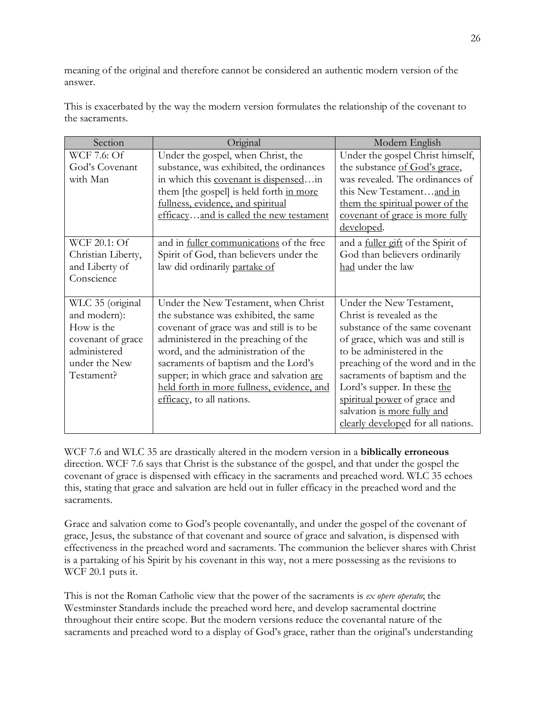meaning of the original and therefore cannot be considered an authentic modern version of the answer.

This is exacerbated by the way the modern version formulates the relationship of the covenant to the sacraments.

| Modern English                            |
|-------------------------------------------|
| Under the gospel Christ himself,          |
| the substance of God's grace,             |
| was revealed. The ordinances of           |
| this New Testamentand in                  |
| them the spiritual power of the           |
| covenant of grace is more fully           |
| developed.                                |
| and a <u>fuller gift</u> of the Spirit of |
| God than believers ordinarily             |
| had under the law                         |
|                                           |
|                                           |
| Under the New Testament,                  |
| Christ is revealed as the                 |
| substance of the same covenant            |
| of grace, which was and still is          |
| to be administered in the                 |
| preaching of the word and in the          |
| sacraments of baptism and the             |
| Lord's supper. In these the               |
| spiritual power of grace and              |
| salvation is more fully and               |
| clearly developed for all nations.        |
|                                           |

WCF 7.6 and WLC 35 are drastically altered in the modern version in a **biblically erroneous** direction. WCF 7.6 says that Christ is the substance of the gospel, and that under the gospel the covenant of grace is dispensed with efficacy in the sacraments and preached word. WLC 35 echoes this, stating that grace and salvation are held out in fuller efficacy in the preached word and the sacraments.

Grace and salvation come to God's people covenantally, and under the gospel of the covenant of grace, Jesus, the substance of that covenant and source of grace and salvation, is dispensed with effectiveness in the preached word and sacraments. The communion the believer shares with Christ is a partaking of his Spirit by his covenant in this way, not a mere possessing as the revisions to WCF 20.1 puts it.

This is not the Roman Catholic view that the power of the sacraments is *ex opere operato*; the Westminster Standards include the preached word here, and develop sacramental doctrine throughout their entire scope. But the modern versions reduce the covenantal nature of the sacraments and preached word to a display of God's grace, rather than the original's understanding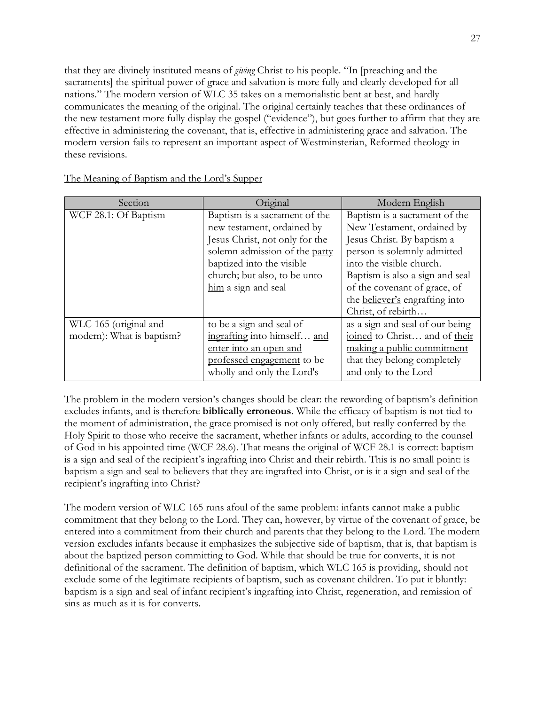that they are divinely instituted means of *giving* Christ to his people. "In [preaching and the sacraments] the spiritual power of grace and salvation is more fully and clearly developed for all nations." The modern version of WLC 35 takes on a memorialistic bent at best, and hardly communicates the meaning of the original. The original certainly teaches that these ordinances of the new testament more fully display the gospel ("evidence"), but goes further to affirm that they are effective in administering the covenant, that is, effective in administering grace and salvation. The modern version fails to represent an important aspect of Westminsterian, Reformed theology in these revisions.

| Section                   | Original                       | Modern English                  |
|---------------------------|--------------------------------|---------------------------------|
| WCF 28.1: Of Baptism      | Baptism is a sacrament of the  | Baptism is a sacrament of the   |
|                           | new testament, ordained by     | New Testament, ordained by      |
|                           | Jesus Christ, not only for the | Jesus Christ. By baptism a      |
|                           | solemn admission of the party  | person is solemnly admitted     |
|                           | baptized into the visible      | into the visible church.        |
|                           | church; but also, to be unto   | Baptism is also a sign and seal |
|                           | him a sign and seal            | of the covenant of grace, of    |
|                           |                                | the believer's engrafting into  |
|                           |                                | Christ, of rebirth              |
| WLC 165 (original and     | to be a sign and seal of       | as a sign and seal of our being |
| modern): What is baptism? | ingrafting into himself and    | joined to Christ and of their   |
|                           | enter into an open and         | making a public commitment      |
|                           | professed engagement to be     | that they belong completely     |
|                           | wholly and only the Lord's     | and only to the Lord            |

The Meaning of Baptism and the Lord's Supper

The problem in the modern version's changes should be clear: the rewording of baptism's definition excludes infants, and is therefore **biblically erroneous**. While the efficacy of baptism is not tied to the moment of administration, the grace promised is not only offered, but really conferred by the Holy Spirit to those who receive the sacrament, whether infants or adults, according to the counsel of God in his appointed time (WCF 28.6). That means the original of WCF 28.1 is correct: baptism is a sign and seal of the recipient's ingrafting into Christ and their rebirth. This is no small point: is baptism a sign and seal to believers that they are ingrafted into Christ, or is it a sign and seal of the recipient's ingrafting into Christ?

The modern version of WLC 165 runs afoul of the same problem: infants cannot make a public commitment that they belong to the Lord. They can, however, by virtue of the covenant of grace, be entered into a commitment from their church and parents that they belong to the Lord. The modern version excludes infants because it emphasizes the subjective side of baptism, that is, that baptism is about the baptized person committing to God. While that should be true for converts, it is not definitional of the sacrament. The definition of baptism, which WLC 165 is providing, should not exclude some of the legitimate recipients of baptism, such as covenant children. To put it bluntly: baptism is a sign and seal of infant recipient's ingrafting into Christ, regeneration, and remission of sins as much as it is for converts.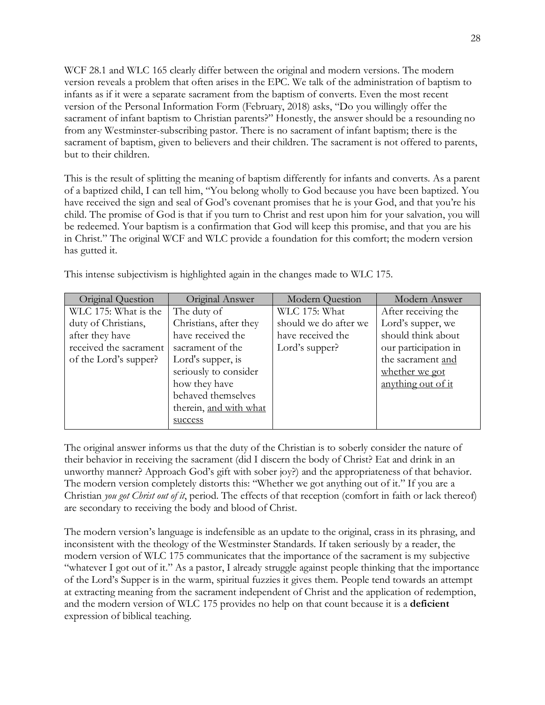WCF 28.1 and WLC 165 clearly differ between the original and modern versions. The modern version reveals a problem that often arises in the EPC. We talk of the administration of baptism to infants as if it were a separate sacrament from the baptism of converts. Even the most recent version of the Personal Information Form (February, 2018) asks, "Do you willingly offer the sacrament of infant baptism to Christian parents?" Honestly, the answer should be a resounding no from any Westminster-subscribing pastor. There is no sacrament of infant baptism; there is the sacrament of baptism, given to believers and their children. The sacrament is not offered to parents, but to their children.

This is the result of splitting the meaning of baptism differently for infants and converts. As a parent of a baptized child, I can tell him, "You belong wholly to God because you have been baptized. You have received the sign and seal of God's covenant promises that he is your God, and that you're his child. The promise of God is that if you turn to Christ and rest upon him for your salvation, you will be redeemed. Your baptism is a confirmation that God will keep this promise, and that you are his in Christ." The original WCF and WLC provide a foundation for this comfort; the modern version has gutted it.

| Original Question      | Original Answer        | <b>Modern Question</b> | Modern Answer        |
|------------------------|------------------------|------------------------|----------------------|
| WLC 175: What is the   | The duty of            | WLC 175: What          | After receiving the  |
| duty of Christians,    | Christians, after they | should we do after we  | Lord's supper, we    |
| after they have        | have received the      | have received the      | should think about   |
| received the sacrament | sacrament of the       | Lord's supper?         | our participation in |
| of the Lord's supper?  | Lord's supper, is      |                        | the sacrament and    |
|                        | seriously to consider  |                        | whether we got       |
|                        | how they have          |                        | anything out of it   |
|                        | behaved themselves     |                        |                      |
|                        | therein, and with what |                        |                      |
|                        | success                |                        |                      |

This intense subjectivism is highlighted again in the changes made to WLC 175.

The original answer informs us that the duty of the Christian is to soberly consider the nature of their behavior in receiving the sacrament (did I discern the body of Christ? Eat and drink in an unworthy manner? Approach God's gift with sober joy?) and the appropriateness of that behavior. The modern version completely distorts this: "Whether we got anything out of it." If you are a Christian *you got Christ out of it*, period. The effects of that reception (comfort in faith or lack thereof) are secondary to receiving the body and blood of Christ.

The modern version's language is indefensible as an update to the original, crass in its phrasing, and inconsistent with the theology of the Westminster Standards. If taken seriously by a reader, the modern version of WLC 175 communicates that the importance of the sacrament is my subjective "whatever I got out of it." As a pastor, I already struggle against people thinking that the importance of the Lord's Supper is in the warm, spiritual fuzzies it gives them. People tend towards an attempt at extracting meaning from the sacrament independent of Christ and the application of redemption, and the modern version of WLC 175 provides no help on that count because it is a **deficient** expression of biblical teaching.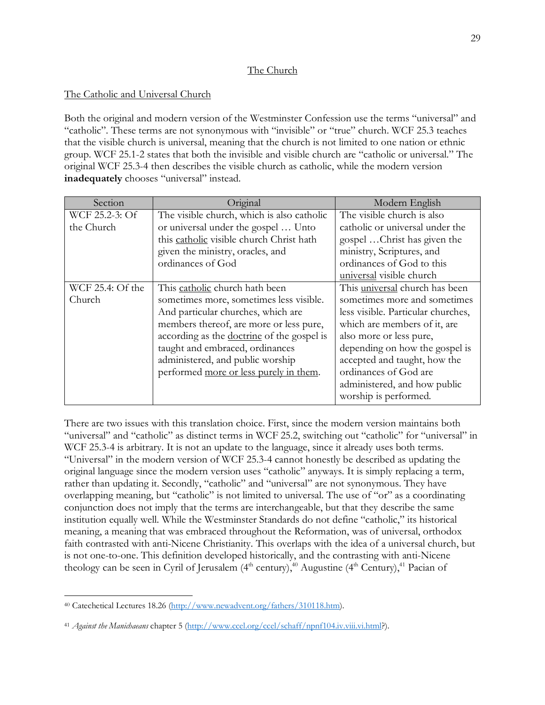### The Church

### The Catholic and Universal Church

Both the original and modern version of the Westminster Confession use the terms "universal" and "catholic". These terms are not synonymous with "invisible" or "true" church. WCF 25.3 teaches that the visible church is universal, meaning that the church is not limited to one nation or ethnic group. WCF 25.1-2 states that both the invisible and visible church are "catholic or universal." The original WCF 25.3-4 then describes the visible church as catholic, while the modern version **inadequately** chooses "universal" instead.

| Section          | Original                                   | Modern English                     |
|------------------|--------------------------------------------|------------------------------------|
| WCF 25.2-3: Of   | The visible church, which is also catholic | The visible church is also         |
| the Church       | or universal under the gospel  Unto        | catholic or universal under the    |
|                  | this catholic visible church Christ hath   | gospel Christ has given the        |
|                  | given the ministry, oracles, and           | ministry, Scriptures, and          |
|                  | ordinances of God                          | ordinances of God to this          |
|                  |                                            | universal visible church           |
| WCF 25.4: Of the | This catholic church hath been             | This universal church has been     |
| Church           | sometimes more, sometimes less visible.    | sometimes more and sometimes       |
|                  | And particular churches, which are         | less visible. Particular churches, |
|                  | members thereof, are more or less pure,    | which are members of it, are       |
|                  | according as the doctrine of the gospel is | also more or less pure,            |
|                  | taught and embraced, ordinances            | depending on how the gospel is     |
|                  | administered, and public worship           | accepted and taught, how the       |
|                  | performed more or less purely in them.     | ordinances of God are              |
|                  |                                            | administered, and how public       |
|                  |                                            | worship is performed.              |

There are two issues with this translation choice. First, since the modern version maintains both "universal" and "catholic" as distinct terms in WCF 25.2, switching out "catholic" for "universal" in WCF 25.3-4 is arbitrary. It is not an update to the language, since it already uses both terms. "Universal" in the modern version of WCF 25.3-4 cannot honestly be described as updating the original language since the modern version uses "catholic" anyways. It is simply replacing a term, rather than updating it. Secondly, "catholic" and "universal" are not synonymous. They have overlapping meaning, but "catholic" is not limited to universal. The use of "or" as a coordinating conjunction does not imply that the terms are interchangeable, but that they describe the same institution equally well. While the Westminster Standards do not define "catholic," its historical meaning, a meaning that was embraced throughout the Reformation, was of universal, orthodox faith contrasted with anti-Nicene Christianity. This overlaps with the idea of a universal church, but is not one-to-one. This definition developed historically, and the contrasting with anti-Nicene theology can be seen in Cyril of Jerusalem ( $4<sup>th</sup>$  century),<sup>40</sup> Augustine ( $4<sup>th</sup>$  Century),<sup>41</sup> Pacian of

 <sup>40</sup> Catechetical Lectures 18.26 (http://www.newadvent.org/fathers/310118.htm).

<sup>41</sup> *Against the Manichaeans* chapter 5 (http://www.ccel.org/ccel/schaff/npnf104.iv.viii.vi.html?).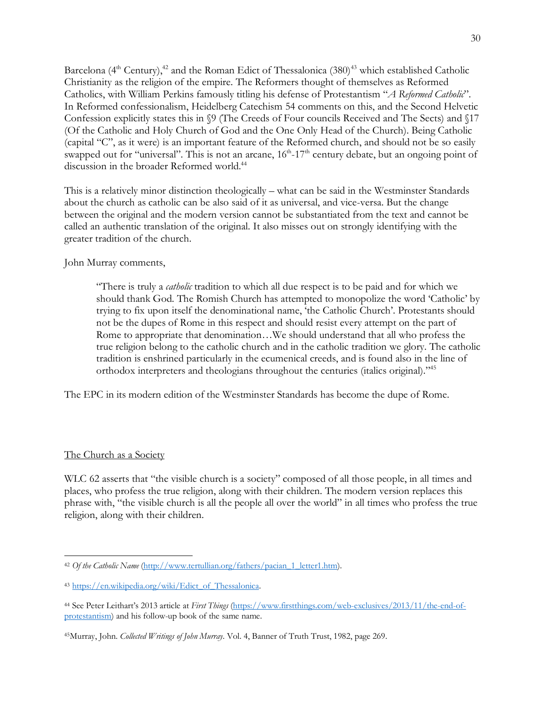Barcelona (4<sup>th</sup> Century),<sup>42</sup> and the Roman Edict of Thessalonica (380)<sup>43</sup> which established Catholic Christianity as the religion of the empire. The Reformers thought of themselves as Reformed Catholics, with William Perkins famously titling his defense of Protestantism "*A Reformed Catholic*". In Reformed confessionalism, Heidelberg Catechism 54 comments on this, and the Second Helvetic Confession explicitly states this in §9 (The Creeds of Four councils Received and The Sects) and §17 (Of the Catholic and Holy Church of God and the One Only Head of the Church). Being Catholic (capital "C", as it were) is an important feature of the Reformed church, and should not be so easily swapped out for "universal". This is not an arcane,  $16<sup>th</sup>$ -17<sup>th</sup> century debate, but an ongoing point of discussion in the broader Reformed world.<sup>44</sup>

This is a relatively minor distinction theologically – what can be said in the Westminster Standards about the church as catholic can be also said of it as universal, and vice-versa. But the change between the original and the modern version cannot be substantiated from the text and cannot be called an authentic translation of the original. It also misses out on strongly identifying with the greater tradition of the church.

#### John Murray comments,

"There is truly a *catholic* tradition to which all due respect is to be paid and for which we should thank God. The Romish Church has attempted to monopolize the word 'Catholic' by trying to fix upon itself the denominational name, 'the Catholic Church'. Protestants should not be the dupes of Rome in this respect and should resist every attempt on the part of Rome to appropriate that denomination…We should understand that all who profess the true religion belong to the catholic church and in the catholic tradition we glory. The catholic tradition is enshrined particularly in the ecumenical creeds, and is found also in the line of orthodox interpreters and theologians throughout the centuries (italics original)."45

The EPC in its modern edition of the Westminster Standards has become the dupe of Rome.

### The Church as a Society

WLC 62 asserts that "the visible church is a society" composed of all those people, in all times and places, who profess the true religion, along with their children. The modern version replaces this phrase with, "the visible church is all the people all over the world" in all times who profess the true religion, along with their children.

<sup>&</sup>lt;sup>42</sup> *Of the Catholic Name* (http://www.tertullian.org/fathers/pacian\_1\_letter1.htm).

<sup>43</sup> https://en.wikipedia.org/wiki/Edict\_of\_Thessalonica.

<sup>44</sup> See Peter Leithart's 2013 article at *First Things* (https://www.firstthings.com/web-exclusives/2013/11/the-end-ofprotestantism) and his follow-up book of the same name.

<sup>45</sup>Murray, John. *Collected Writings of John Murray*. Vol. 4, Banner of Truth Trust, 1982, page 269.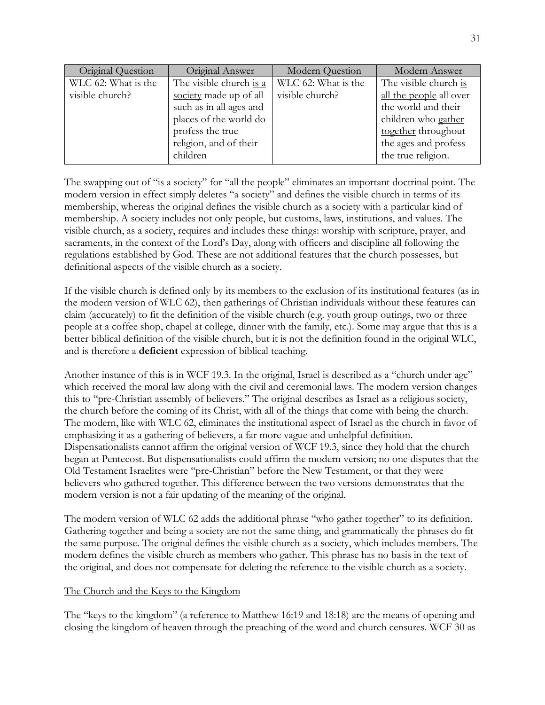| Original Question                      | Original Answer                                                                  | Modern Question                        | Modern Answer                                                                            |
|----------------------------------------|----------------------------------------------------------------------------------|----------------------------------------|------------------------------------------------------------------------------------------|
| WLC 62: What is the<br>visible church? | The visible church is a<br>society made up of all<br>such as in all ages and     | WLC 62: What is the<br>visible church? | The visible church is<br>all the people all over<br>the world and their                  |
|                                        | places of the world do<br>profess the true<br>religion, and of their<br>children |                                        | children who gather<br>together throughout<br>the ages and profess<br>the true religion. |

The swapping out of "is a society" for "all the people" eliminates an important doctrinal point. The modern version in effect simply deletes "a society" and defines the visible church in terms of its membership, whereas the original defines the visible church as a society with a particular kind of membership. A society includes not only people, but customs, laws, institutions, and values. The visible church, as a society, requires and includes these things: worship with scripture, prayer, and sacraments, in the context of the Lord's Day, along with officers and discipline all following the regulations established by God. These are not additional features that the church possesses, but definitional aspects of the visible church as a society.

If the visible church is defined only by its members to the exclusion of its institutional features (as in the modern version of WLC 62), then gatherings of Christian individuals without these features can claim (accurately) to fit the definition of the visible church (e.g. youth group outings, two or three people at a coffee shop, chapel at college, dinner with the family, etc.). Some may argue that this is a better biblical definition of the visible church, but it is not the definition found in the original WLC, and is therefore a **deficient** expression of biblical teaching.

Another instance of this is in WCF 19.3. In the original, Israel is described as a "church under age" which received the moral law along with the civil and ceremonial laws. The modern version changes this to "pre-Christian assembly of believers." The original describes as Israel as a religious society, the church before the coming of its Christ, with all of the things that come with being the church. The modern, like with WLC 62, eliminates the institutional aspect of Israel as the church in favor of emphasizing it as a gathering of believers, a far more vague and unhelpful definition. Dispensationalists cannot affirm the original version of WCF 19.3, since they hold that the church began at Pentecost. But dispensationalists could affirm the modern version; no one disputes that the Old Testament Israelites were "pre-Christian" before the New Testament, or that they were believers who gathered together. This difference between the two versions demonstrates that the modern version is not a fair updating of the meaning of the original.

The modern version of WLC 62 adds the additional phrase "who gather together" to its definition. Gathering together and being a society are not the same thing, and grammatically the phrases do fit the same purpose. The original defines the visible church as a society, which includes members. The modern defines the visible church as members who gather. This phrase has no basis in the text of the original, and does not compensate for deleting the reference to the visible church as a society.

### The Church and the Keys to the Kingdom

The "keys to the kingdom" (a reference to Matthew 16:19 and 18:18) are the means of opening and closing the kingdom of heaven through the preaching of the word and church censures. WCF 30 as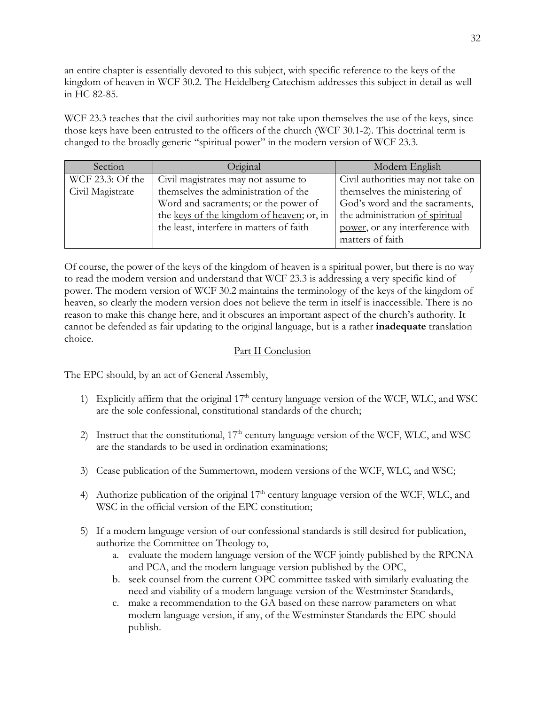an entire chapter is essentially devoted to this subject, with specific reference to the keys of the kingdom of heaven in WCF 30.2. The Heidelberg Catechism addresses this subject in detail as well in HC 82-85.

WCF 23.3 teaches that the civil authorities may not take upon themselves the use of the keys, since those keys have been entrusted to the officers of the church (WCF 30.1-2). This doctrinal term is changed to the broadly generic "spiritual power" in the modern version of WCF 23.3.

| Section          | Original                                  | Modern English                    |
|------------------|-------------------------------------------|-----------------------------------|
| WCF 23.3: Of the | Civil magistrates may not assume to       | Civil authorities may not take on |
| Civil Magistrate | themselves the administration of the      | themselves the ministering of     |
|                  | Word and sacraments; or the power of      | God's word and the sacraments,    |
|                  | the keys of the kingdom of heaven; or, in | the administration of spiritual   |
|                  | the least, interfere in matters of faith  | power, or any interference with   |
|                  |                                           | matters of faith                  |

Of course, the power of the keys of the kingdom of heaven is a spiritual power, but there is no way to read the modern version and understand that WCF 23.3 is addressing a very specific kind of power. The modern version of WCF 30.2 maintains the terminology of the keys of the kingdom of heaven, so clearly the modern version does not believe the term in itself is inaccessible. There is no reason to make this change here, and it obscures an important aspect of the church's authority. It cannot be defended as fair updating to the original language, but is a rather **inadequate** translation choice.

### Part II Conclusion

The EPC should, by an act of General Assembly,

- 1) Explicitly affirm that the original  $17<sup>th</sup>$  century language version of the WCF, WLC, and WSC are the sole confessional, constitutional standards of the church;
- 2) Instruct that the constitutional,  $17<sup>th</sup>$  century language version of the WCF, WLC, and WSC are the standards to be used in ordination examinations;
- 3) Cease publication of the Summertown, modern versions of the WCF, WLC, and WSC;
- 4) Authorize publication of the original  $17<sup>th</sup>$  century language version of the WCF, WLC, and WSC in the official version of the EPC constitution;
- 5) If a modern language version of our confessional standards is still desired for publication, authorize the Committee on Theology to,
	- a. evaluate the modern language version of the WCF jointly published by the RPCNA and PCA, and the modern language version published by the OPC,
	- b. seek counsel from the current OPC committee tasked with similarly evaluating the need and viability of a modern language version of the Westminster Standards,
	- c. make a recommendation to the GA based on these narrow parameters on what modern language version, if any, of the Westminster Standards the EPC should publish.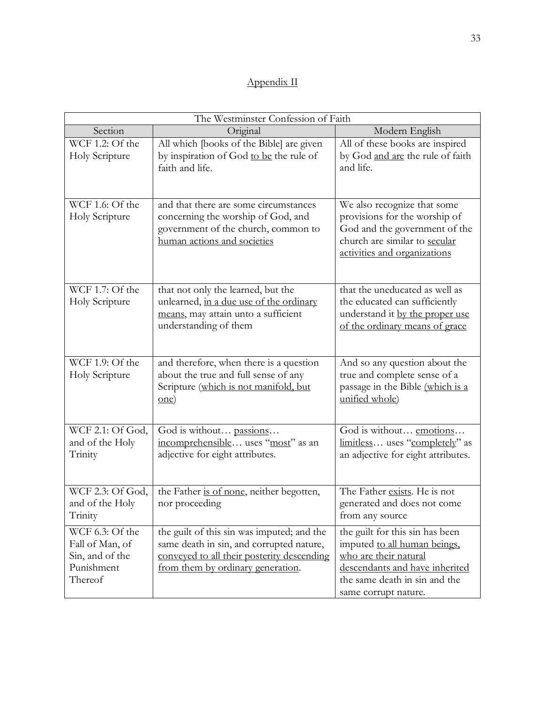# Appendix II

|                                                                                | The Westminster Confession of Faith                                                                                                                                       |                                                                                                                                                                                     |  |  |
|--------------------------------------------------------------------------------|---------------------------------------------------------------------------------------------------------------------------------------------------------------------------|-------------------------------------------------------------------------------------------------------------------------------------------------------------------------------------|--|--|
| Section                                                                        | Original                                                                                                                                                                  | Modern English                                                                                                                                                                      |  |  |
| WCF $1.2$ : Of the<br>Holy Scripture                                           | All which [books of the Bible] are given<br>by inspiration of God to be the rule of<br>faith and life.                                                                    | All of these books are inspired<br>by God and are the rule of faith<br>and life.                                                                                                    |  |  |
| WCF 1.6: Of the<br>Holy Scripture                                              | and that there are some circumstances<br>concerning the worship of God, and<br>government of the church, common to<br>human actions and societies                         | We also recognize that some<br>provisions for the worship of<br>God and the government of the<br>church are similar to secular<br>activities and organizations                      |  |  |
| WCF 1.7: Of the<br>Holy Scripture                                              | that not only the learned, but the<br>unlearned, in a due use of the ordinary<br>means, may attain unto a sufficient<br>understanding of them                             | that the uneducated as well as<br>the educated can sufficiently<br>understand it by the proper use<br>of the ordinary means of grace                                                |  |  |
| WCF 1.9: Of the<br>Holy Scripture                                              | and therefore, when there is a question<br>about the true and full sense of any<br>Scripture (which is not manifold, but<br>one)                                          | And so any question about the<br>true and complete sense of a<br>passage in the Bible (which is a<br>unified whole)                                                                 |  |  |
| WCF 2.1: Of God,<br>and of the Holy<br>Trinity                                 | God is without passions<br>incomprehensible uses "most" as an<br>adjective for eight attributes.                                                                          | God is without emotions<br>limitless uses "completely" as<br>an adjective for eight attributes.                                                                                     |  |  |
| WCF 2.3: Of God,<br>and of the Holy<br>Trinity                                 | the Father is of none, neither begotten,<br>nor proceeding                                                                                                                | The Father exists. He is not<br>generated and does not come<br>from any source                                                                                                      |  |  |
| WCF 6.3: Of the<br>Fall of Man, of<br>Sin, and of the<br>Punishment<br>Thereof | the guilt of this sin was imputed; and the<br>same death in sin, and corrupted nature,<br>conveyed to all their posterity descending<br>from them by ordinary generation. | the guilt for this sin has been<br>imputed to all human beings,<br>who are their natural<br>descendants and have inherited<br>the same death in sin and the<br>same corrupt nature. |  |  |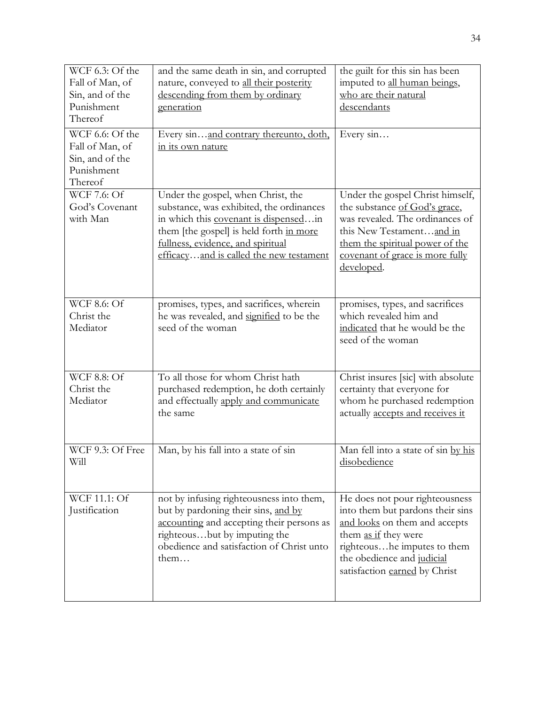| WCF 6.3: Of the<br>Fall of Man, of<br>Sin, and of the<br>Punishment<br>Thereof | and the same death in sin, and corrupted<br>nature, conveyed to all their posterity<br>descending from them by ordinary<br>generation                                                                                                              | the guilt for this sin has been<br>imputed to all human beings,<br>who are their natural<br>descendants                                                                                                                   |  |
|--------------------------------------------------------------------------------|----------------------------------------------------------------------------------------------------------------------------------------------------------------------------------------------------------------------------------------------------|---------------------------------------------------------------------------------------------------------------------------------------------------------------------------------------------------------------------------|--|
| WCF 6.6: Of the<br>Fall of Man, of<br>Sin, and of the<br>Punishment<br>Thereof | Every sinand contrary thereunto, doth,<br>in its own nature                                                                                                                                                                                        | Every sin                                                                                                                                                                                                                 |  |
| WCF 7.6: Of<br>God's Covenant<br>with Man                                      | Under the gospel, when Christ, the<br>substance, was exhibited, the ordinances<br>in which this covenant is dispensedin<br>them [the gospel] is held forth in more<br>fullness, evidence, and spiritual<br>efficacyand is called the new testament | Under the gospel Christ himself,<br>the substance of God's grace,<br>was revealed. The ordinances of<br>this New Testamentand in<br>them the spiritual power of the<br>covenant of grace is more fully<br>developed.      |  |
| <b>WCF 8.6: Of</b><br>Christ the<br>Mediator                                   | promises, types, and sacrifices, wherein<br>he was revealed, and signified to be the<br>seed of the woman                                                                                                                                          | promises, types, and sacrifices<br>which revealed him and<br>indicated that he would be the<br>seed of the woman                                                                                                          |  |
| <b>WCF 8.8: Of</b><br>Christ the<br>Mediator                                   | To all those for whom Christ hath<br>purchased redemption, he doth certainly<br>and effectually apply and communicate<br>the same                                                                                                                  | Christ insures [sic] with absolute<br>certainty that everyone for<br>whom he purchased redemption<br>actually accepts and receives it                                                                                     |  |
| WCF 9.3: Of Free<br>Will                                                       | Man, by his fall into a state of sin                                                                                                                                                                                                               | Man fell into a state of sin by his<br>disobedience                                                                                                                                                                       |  |
| WCF 11.1: Of<br>Justification                                                  | not by infusing righteousness into them,<br>but by pardoning their sins, and by<br>accounting and accepting their persons as<br>righteousbut by imputing the<br>obedience and satisfaction of Christ unto<br>them $\dots$                          | He does not pour righteousness<br>into them but pardons their sins<br>and looks on them and accepts<br>them as if they were<br>righteoushe imputes to them<br>the obedience and judicial<br>satisfaction earned by Christ |  |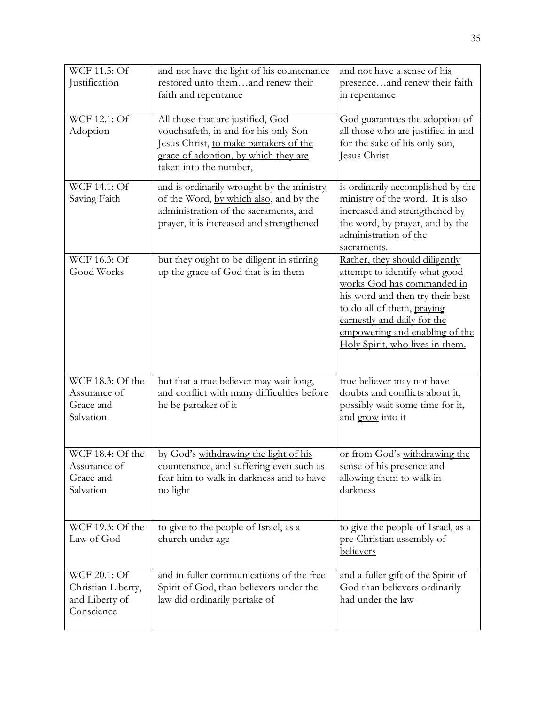| WCF 11.5: Of<br>Justification                                      | and not have the light of his countenance<br>restored unto themand renew their<br>faith and repentance                                                                                | and not have a sense of his<br>presenceand renew their faith<br>in repentance                                                                                                                                                                                       |
|--------------------------------------------------------------------|---------------------------------------------------------------------------------------------------------------------------------------------------------------------------------------|---------------------------------------------------------------------------------------------------------------------------------------------------------------------------------------------------------------------------------------------------------------------|
| WCF 12.1: Of<br>Adoption                                           | All those that are justified, God<br>vouchsafeth, in and for his only Son<br>Jesus Christ, to make partakers of the<br>grace of adoption, by which they are<br>taken into the number, | God guarantees the adoption of<br>all those who are justified in and<br>for the sake of his only son,<br>Jesus Christ                                                                                                                                               |
| <b>WCF 14.1: Of</b><br>Saving Faith                                | and is ordinarily wrought by the ministry<br>of the Word, by which also, and by the<br>administration of the sacraments, and<br>prayer, it is increased and strengthened              | is ordinarily accomplished by the<br>ministry of the word. It is also<br>increased and strengthened by<br>the word, by prayer, and by the<br>administration of the<br>sacraments.                                                                                   |
| WCF 16.3: Of<br>Good Works                                         | but they ought to be diligent in stirring<br>up the grace of God that is in them                                                                                                      | Rather, they should diligently<br>attempt to identify what good<br>works God has commanded in<br>his word and then try their best<br>to do all of them, praying<br>earnestly and daily for the<br>empowering and enabling of the<br>Holy Spirit, who lives in them. |
| WCF 18.3: Of the<br>Assurance of<br>Grace and<br>Salvation         | but that a true believer may wait long,<br>and conflict with many difficulties before<br>he be partaker of it                                                                         | true believer may not have<br>doubts and conflicts about it,<br>possibly wait some time for it,<br>and grow into it                                                                                                                                                 |
| WCF 18.4: Of the<br>Assurance of<br>Grace and<br>Salvation         | by God's withdrawing the light of his<br>countenance, and suffering even such as<br>fear him to walk in darkness and to have<br>no light                                              | or from God's withdrawing the<br>sense of his presence and<br>allowing them to walk in<br>darkness                                                                                                                                                                  |
| WCF 19.3: Of the<br>Law of God                                     | to give to the people of Israel, as a<br>church under age                                                                                                                             | to give the people of Israel, as a<br>pre-Christian assembly of<br>believers                                                                                                                                                                                        |
| WCF 20.1: Of<br>Christian Liberty,<br>and Liberty of<br>Conscience | and in fuller communications of the free<br>Spirit of God, than believers under the<br>law did ordinarily partake of                                                                  | and a <u>fuller gift</u> of the Spirit of<br>God than believers ordinarily<br>had under the law                                                                                                                                                                     |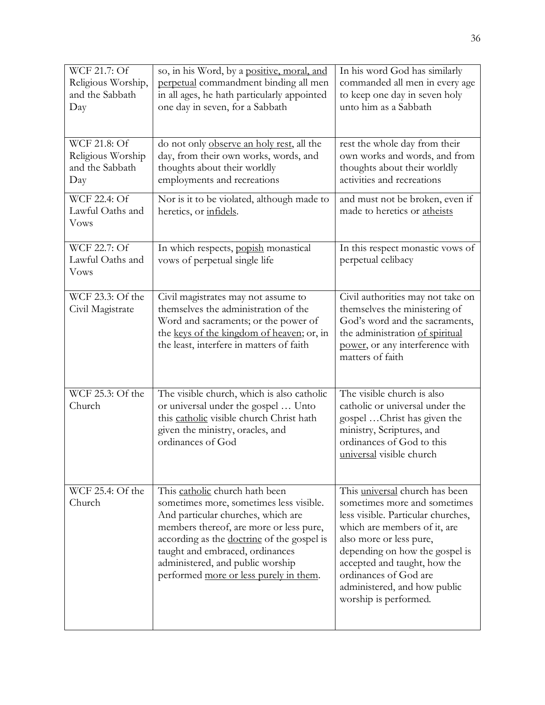| WCF 21.7: Of<br>Religious Worship,<br>and the Sabbath<br>Day | so, in his Word, by a positive, moral, and<br>perpetual commandment binding all men<br>in all ages, he hath particularly appointed<br>one day in seven, for a Sabbath                                                                                                                                                     | In his word God has similarly<br>commanded all men in every age<br>to keep one day in seven holy<br>unto him as a Sabbath                                                                                                                                                                                           |
|--------------------------------------------------------------|---------------------------------------------------------------------------------------------------------------------------------------------------------------------------------------------------------------------------------------------------------------------------------------------------------------------------|---------------------------------------------------------------------------------------------------------------------------------------------------------------------------------------------------------------------------------------------------------------------------------------------------------------------|
| WCF 21.8: Of<br>Religious Worship<br>and the Sabbath<br>Day  | do not only observe an holy rest, all the<br>day, from their own works, words, and<br>thoughts about their worldly<br>employments and recreations                                                                                                                                                                         | rest the whole day from their<br>own works and words, and from<br>thoughts about their worldly<br>activities and recreations                                                                                                                                                                                        |
| WCF 22.4: Of<br>Lawful Oaths and<br><b>Vows</b>              | Nor is it to be violated, although made to<br>heretics, or infidels.                                                                                                                                                                                                                                                      | and must not be broken, even if<br>made to heretics or atheists                                                                                                                                                                                                                                                     |
| WCF 22.7: Of<br>Lawful Oaths and<br><b>Vows</b>              | In which respects, popish monastical<br>vows of perpetual single life                                                                                                                                                                                                                                                     | In this respect monastic vows of<br>perpetual celibacy                                                                                                                                                                                                                                                              |
| WCF 23.3: Of the<br>Civil Magistrate                         | Civil magistrates may not assume to<br>themselves the administration of the<br>Word and sacraments; or the power of<br>the keys of the kingdom of heaven; or, in<br>the least, interfere in matters of faith                                                                                                              | Civil authorities may not take on<br>themselves the ministering of<br>God's word and the sacraments,<br>the administration of spiritual<br>power, or any interference with<br>matters of faith                                                                                                                      |
| WCF 25.3: Of the<br>Church                                   | The visible church, which is also catholic<br>or universal under the gospel  Unto<br>this catholic visible church Christ hath<br>given the ministry, oracles, and<br>ordinances of God                                                                                                                                    | The visible church is also<br>catholic or universal under the<br>gospel Christ has given the<br>ministry, Scriptures, and<br>ordinances of God to this<br>universal visible church                                                                                                                                  |
| WCF 25.4: Of the<br>Church                                   | This catholic church hath been<br>sometimes more, sometimes less visible.<br>And particular churches, which are<br>members thereof, are more or less pure,<br>according as the doctrine of the gospel is<br>taught and embraced, ordinances<br>administered, and public worship<br>performed more or less purely in them. | This universal church has been<br>sometimes more and sometimes<br>less visible. Particular churches,<br>which are members of it, are<br>also more or less pure,<br>depending on how the gospel is<br>accepted and taught, how the<br>ordinances of God are<br>administered, and how public<br>worship is performed. |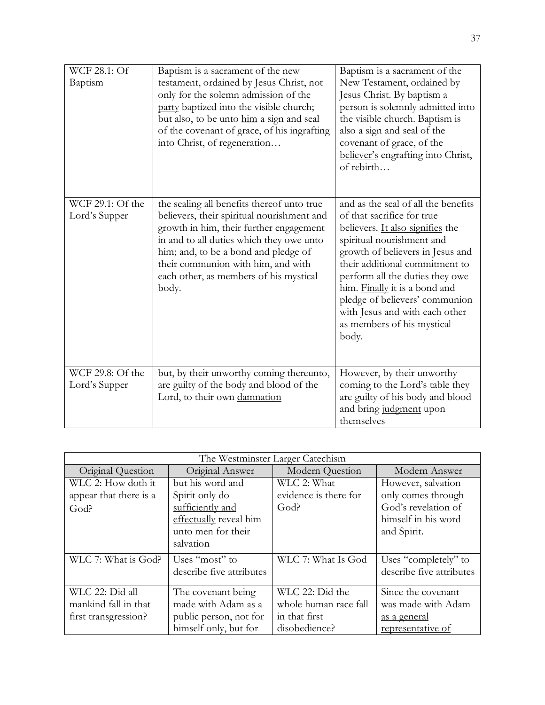| WCF 28.1: Of<br>Baptism           | Baptism is a sacrament of the new<br>testament, ordained by Jesus Christ, not<br>only for the solemn admission of the<br>party baptized into the visible church;<br>but also, to be unto him a sign and seal<br>of the covenant of grace, of his ingrafting<br>into Christ, of regeneration                      | Baptism is a sacrament of the<br>New Testament, ordained by<br>Jesus Christ. By baptism a<br>person is solemnly admitted into<br>the visible church. Baptism is<br>also a sign and seal of the<br>covenant of grace, of the<br>believer's engrafting into Christ,<br>of rebirth                                                                                                         |
|-----------------------------------|------------------------------------------------------------------------------------------------------------------------------------------------------------------------------------------------------------------------------------------------------------------------------------------------------------------|-----------------------------------------------------------------------------------------------------------------------------------------------------------------------------------------------------------------------------------------------------------------------------------------------------------------------------------------------------------------------------------------|
| WCF 29.1: Of the<br>Lord's Supper | the sealing all benefits thereof unto true<br>believers, their spiritual nourishment and<br>growth in him, their further engagement<br>in and to all duties which they owe unto<br>him; and, to be a bond and pledge of<br>their communion with him, and with<br>each other, as members of his mystical<br>body. | and as the seal of all the benefits<br>of that sacrifice for true<br>believers. It also signifies the<br>spiritual nourishment and<br>growth of believers in Jesus and<br>their additional commitment to<br>perform all the duties they owe<br>him. Finally it is a bond and<br>pledge of believers' communion<br>with Jesus and with each other<br>as members of his mystical<br>body. |
| WCF 29.8: Of the<br>Lord's Supper | but, by their unworthy coming thereunto,<br>are guilty of the body and blood of the<br>Lord, to their own damnation                                                                                                                                                                                              | However, by their unworthy<br>coming to the Lord's table they<br>are guilty of his body and blood<br>and bring judgment upon<br>themselves                                                                                                                                                                                                                                              |

| The Westminster Larger Catechism                        |                          |                       |                          |
|---------------------------------------------------------|--------------------------|-----------------------|--------------------------|
| Original Answer<br>Modern Question<br>Original Question |                          | Modern Answer         |                          |
| WLC 2: How doth it                                      | but his word and         | WLC 2: What           | However, salvation       |
| appear that there is a                                  | Spirit only do           | evidence is there for | only comes through       |
| God?                                                    | sufficiently and         | God?                  | God's revelation of      |
|                                                         | effectually reveal him   |                       | himself in his word      |
|                                                         | unto men for their       |                       | and Spirit.              |
|                                                         | salvation                |                       |                          |
| WLC 7: What is God?                                     | Uses "most" to           | WLC 7: What Is God    | Uses "completely" to     |
|                                                         | describe five attributes |                       | describe five attributes |
| WLC 22: Did all                                         | The covenant being       | WLC 22: Did the       | Since the covenant       |
| mankind fall in that                                    | made with Adam as a      | whole human race fall | was made with Adam       |
| first transgression?                                    | public person, not for   | in that first         | <u>as a general</u>      |
|                                                         | himself only, but for    | disobedience?         | representative of        |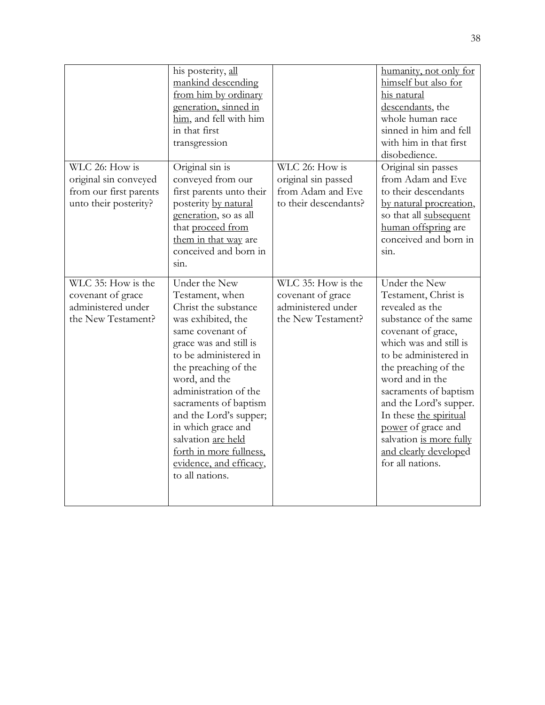|                                                                                            | his posterity, all<br>mankind descending<br>from him by ordinary<br>generation, sinned in<br>him, and fell with him<br>in that first<br>transgression                                                                                                                                                                                                                                           |                                                                                     | humanity, not only for<br>himself but also for<br>his natural<br>descendants, the<br>whole human race<br>sinned in him and fell<br>with him in that first<br>disobedience.                                                                                                                                                                                                       |
|--------------------------------------------------------------------------------------------|-------------------------------------------------------------------------------------------------------------------------------------------------------------------------------------------------------------------------------------------------------------------------------------------------------------------------------------------------------------------------------------------------|-------------------------------------------------------------------------------------|----------------------------------------------------------------------------------------------------------------------------------------------------------------------------------------------------------------------------------------------------------------------------------------------------------------------------------------------------------------------------------|
| WLC 26: How is<br>original sin conveyed<br>from our first parents<br>unto their posterity? | Original sin is<br>conveyed from our<br>first parents unto their<br>posterity by natural<br>generation, so as all<br>that proceed from<br>them in that way are<br>conceived and born in<br>sin.                                                                                                                                                                                                 | WLC 26: How is<br>original sin passed<br>from Adam and Eve<br>to their descendants? | Original sin passes<br>from Adam and Eve<br>to their descendants<br>by natural procreation,<br>so that all subsequent<br>human offspring are<br>conceived and born in<br>sin.                                                                                                                                                                                                    |
| WLC 35: How is the<br>covenant of grace<br>administered under<br>the New Testament?        | Under the New<br>Testament, when<br>Christ the substance<br>was exhibited, the<br>same covenant of<br>grace was and still is<br>to be administered in<br>the preaching of the<br>word, and the<br>administration of the<br>sacraments of baptism<br>and the Lord's supper;<br>in which grace and<br>salvation are held<br>forth in more fullness,<br>evidence, and efficacy,<br>to all nations. | WLC 35: How is the<br>covenant of grace<br>administered under<br>the New Testament? | Under the New<br>Testament, Christ is<br>revealed as the<br>substance of the same<br>covenant of grace,<br>which was and still is<br>to be administered in<br>the preaching of the<br>word and in the<br>sacraments of baptism<br>and the Lord's supper.<br>In these the spiritual<br>power of grace and<br>salvation is more fully<br>and clearly developed<br>for all nations. |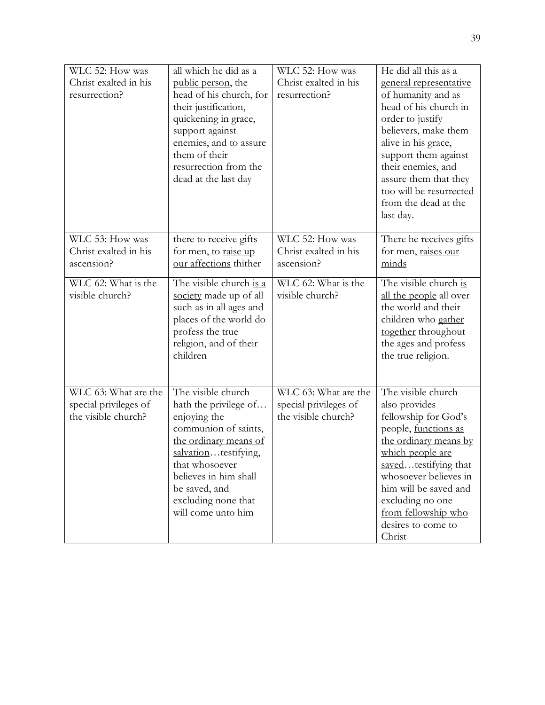| WLC 52: How was<br>Christ exalted in his<br>resurrection?            | all which he did as a<br>public person, the<br>head of his church, for<br>their justification,<br>quickening in grace,<br>support against<br>enemies, and to assure<br>them of their<br>resurrection from the<br>dead at the last day         | WLC 52: How was<br>Christ exalted in his<br>resurrection?            | He did all this as a<br>general representative<br>of humanity and as<br>head of his church in<br>order to justify<br>believers, make them<br>alive in his grace,<br>support them against<br>their enemies, and<br>assure them that they<br>too will be resurrected<br>from the dead at the<br>last day. |
|----------------------------------------------------------------------|-----------------------------------------------------------------------------------------------------------------------------------------------------------------------------------------------------------------------------------------------|----------------------------------------------------------------------|---------------------------------------------------------------------------------------------------------------------------------------------------------------------------------------------------------------------------------------------------------------------------------------------------------|
| WLC 53: How was<br>Christ exalted in his<br>ascension?               | there to receive gifts<br>for men, to raise up<br>our affections thither                                                                                                                                                                      | WLC 52: How was<br>Christ exalted in his<br>ascension?               | There he receives gifts<br>for men, raises our<br>minds                                                                                                                                                                                                                                                 |
| WLC 62: What is the<br>visible church?                               | The visible church is a<br>society made up of all<br>such as in all ages and<br>places of the world do<br>profess the true<br>religion, and of their<br>children                                                                              | $\overline{\text{WL}}$ C 62: What is the<br>visible church?          | The visible church is<br>all the people all over<br>the world and their<br>children who gather<br>together throughout<br>the ages and profess<br>the true religion.                                                                                                                                     |
| WLC 63: What are the<br>special privileges of<br>the visible church? | The visible church<br>hath the privilege of<br>enjoying the<br>communion of saints,<br>the ordinary means of<br>salvationtestifying,<br>that whosoever<br>believes in him shall<br>be saved, and<br>excluding none that<br>will come unto him | WLC 63: What are the<br>special privileges of<br>the visible church? | The visible church<br>also provides<br>fellowship for God's<br>people, functions as<br>the ordinary means by<br>which people are<br>savedtestifying that<br>whosoever believes in<br>him will be saved and<br>excluding no one<br>from fellowship who<br>desires to come to<br>Christ                   |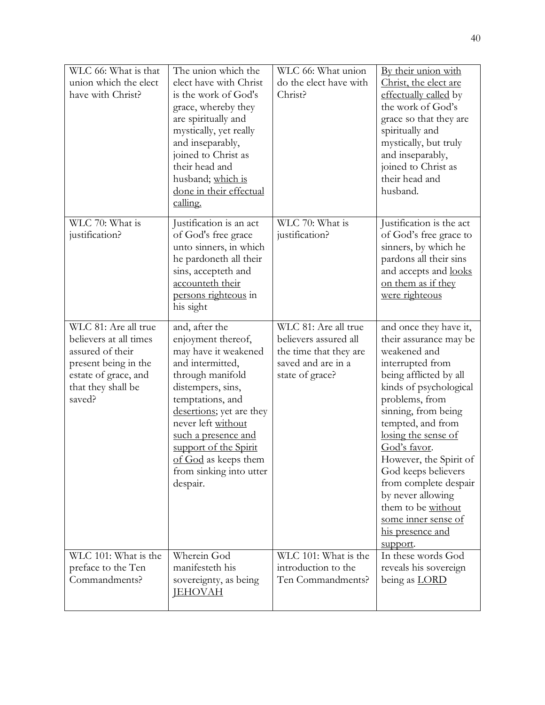| WLC 66: What is that<br>union which the elect<br>have with Christ?                                                                                 | The union which the<br>elect have with Christ<br>is the work of God's<br>grace, whereby they<br>are spiritually and<br>mystically, yet really<br>and inseparably,<br>joined to Christ as<br>their head and<br>husband; which is<br>done in their effectual<br>calling.                                         | WLC 66: What union<br>do the elect have with<br>Christ?                                                          | By their union with<br>Christ, the elect are<br>effectually called by<br>the work of God's<br>grace so that they are<br>spiritually and<br>mystically, but truly<br>and inseparably,<br>joined to Christ as<br>their head and<br>husband.                                                                                                                                                                                 |
|----------------------------------------------------------------------------------------------------------------------------------------------------|----------------------------------------------------------------------------------------------------------------------------------------------------------------------------------------------------------------------------------------------------------------------------------------------------------------|------------------------------------------------------------------------------------------------------------------|---------------------------------------------------------------------------------------------------------------------------------------------------------------------------------------------------------------------------------------------------------------------------------------------------------------------------------------------------------------------------------------------------------------------------|
| WLC 70: What is<br>justification?                                                                                                                  | Justification is an act<br>of God's free grace<br>unto sinners, in which<br>he pardoneth all their<br>sins, accepteth and<br>accounteth their<br>persons righteous in<br>his sight                                                                                                                             | WLC 70: What is<br>justification?                                                                                | Justification is the act<br>of God's free grace to<br>sinners, by which he<br>pardons all their sins<br>and accepts and looks<br>on them as if they<br>were righteous                                                                                                                                                                                                                                                     |
| WLC 81: Are all true<br>believers at all times<br>assured of their<br>present being in the<br>estate of grace, and<br>that they shall be<br>saved? | and, after the<br>enjoyment thereof,<br>may have it weakened<br>and intermitted,<br>through manifold<br>distempers, sins,<br>temptations, and<br>desertions; yet are they<br>never left without<br>such a presence and<br>support of the Spirit<br>of God as keeps them<br>from sinking into utter<br>despair. | WLC 81: Are all true<br>believers assured all<br>the time that they are<br>saved and are in a<br>state of grace? | and once they have it,<br>their assurance may be<br>weakened and<br>interrupted from<br>being afflicted by all<br>kinds of psychological<br>problems, from<br>sinning, from being<br>tempted, and from<br>losing the sense of<br>God's favor.<br>However, the Spirit of<br>God keeps believers<br>from complete despair<br>by never allowing<br>them to be without<br>some inner sense of<br>his presence and<br>support. |
| WLC 101: What is the<br>preface to the Ten<br>Commandments?                                                                                        | Wherein God<br>manifesteth his<br>sovereignty, as being<br><b>IEHOVAH</b>                                                                                                                                                                                                                                      | WLC 101: What is the<br>introduction to the<br>Ten Commandments?                                                 | In these words God<br>reveals his sovereign<br>being as LORD                                                                                                                                                                                                                                                                                                                                                              |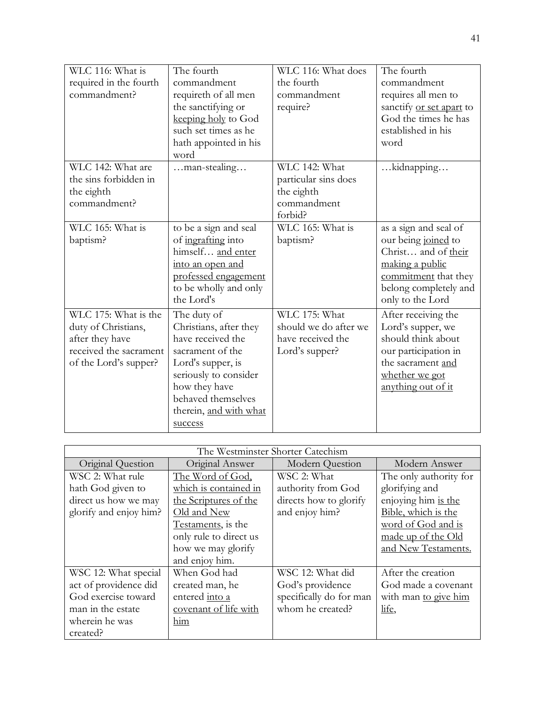| WLC 116: What is       | The fourth             | WLC 116: What does    | The fourth                      |
|------------------------|------------------------|-----------------------|---------------------------------|
| required in the fourth | commandment            | the fourth            | commandment                     |
| commandment?           | requireth of all men   | commandment           | requires all men to             |
|                        | the sanctifying or     | require?              | sanctify <u>or set apart</u> to |
|                        | keeping holy to God    |                       | God the times he has            |
|                        | such set times as he   |                       | established in his              |
|                        | hath appointed in his  |                       | word                            |
|                        | word                   |                       |                                 |
| WLC 142: What are      | man-stealing           | WLC 142: What         | kidnapping                      |
| the sins forbidden in  |                        | particular sins does  |                                 |
| the eighth             |                        | the eighth            |                                 |
| commandment?           |                        | commandment           |                                 |
|                        |                        | forbid?               |                                 |
| WLC 165: What is       | to be a sign and seal  | WLC 165: What is      | as a sign and seal of           |
| baptism?               | of ingrafting into     | baptism?              | our being joined to             |
|                        | himself and enter      |                       | Christ and of their             |
|                        | into an open and       |                       | making a public                 |
|                        | professed engagement   |                       | commitment that they            |
|                        | to be wholly and only  |                       | belong completely and           |
|                        | the Lord's             |                       | only to the Lord                |
| WLC 175: What is the   | The duty of            | WLC 175: What         | After receiving the             |
| duty of Christians,    | Christians, after they | should we do after we | Lord's supper, we               |
| after they have        | have received the      | have received the     | should think about              |
| received the sacrament | sacrament of the       | Lord's supper?        | our participation in            |
| of the Lord's supper?  | Lord's supper, is      |                       | the sacrament and               |
|                        | seriously to consider  |                       | whether we got                  |
|                        | how they have          |                       | anything out of it              |
|                        | behaved themselves     |                       |                                 |
|                        | therein, and with what |                       |                                 |
|                        | success                |                       |                                 |

| The Westminster Shorter Catechism |                        |                         |                        |
|-----------------------------------|------------------------|-------------------------|------------------------|
| Original Question                 | Original Answer        | <b>Modern Question</b>  | Modern Answer          |
| WSC 2: What rule                  | The Word of God,       | WSC 2: What             | The only authority for |
| hath God given to                 | which is contained in  | authority from God      | glorifying and         |
| direct us how we may              | the Scriptures of the  | directs how to glorify  | enjoying him is the    |
| glorify and enjoy him?            | Old and New            | and enjoy him?          | Bible, which is the    |
|                                   | Testaments, is the     |                         | word of God and is     |
|                                   | only rule to direct us |                         | made up of the Old     |
|                                   | how we may glorify     |                         | and New Testaments.    |
|                                   | and enjoy him.         |                         |                        |
| WSC 12: What special              | When God had           | WSC 12: What did        | After the creation     |
| act of providence did             | created man, he        | God's providence        | God made a covenant    |
| God exercise toward               | entered into a         | specifically do for man | with man to give him   |
| man in the estate                 | covenant of life with  | whom he created?        | life,                  |
| wherein he was                    | him                    |                         |                        |
| created?                          |                        |                         |                        |